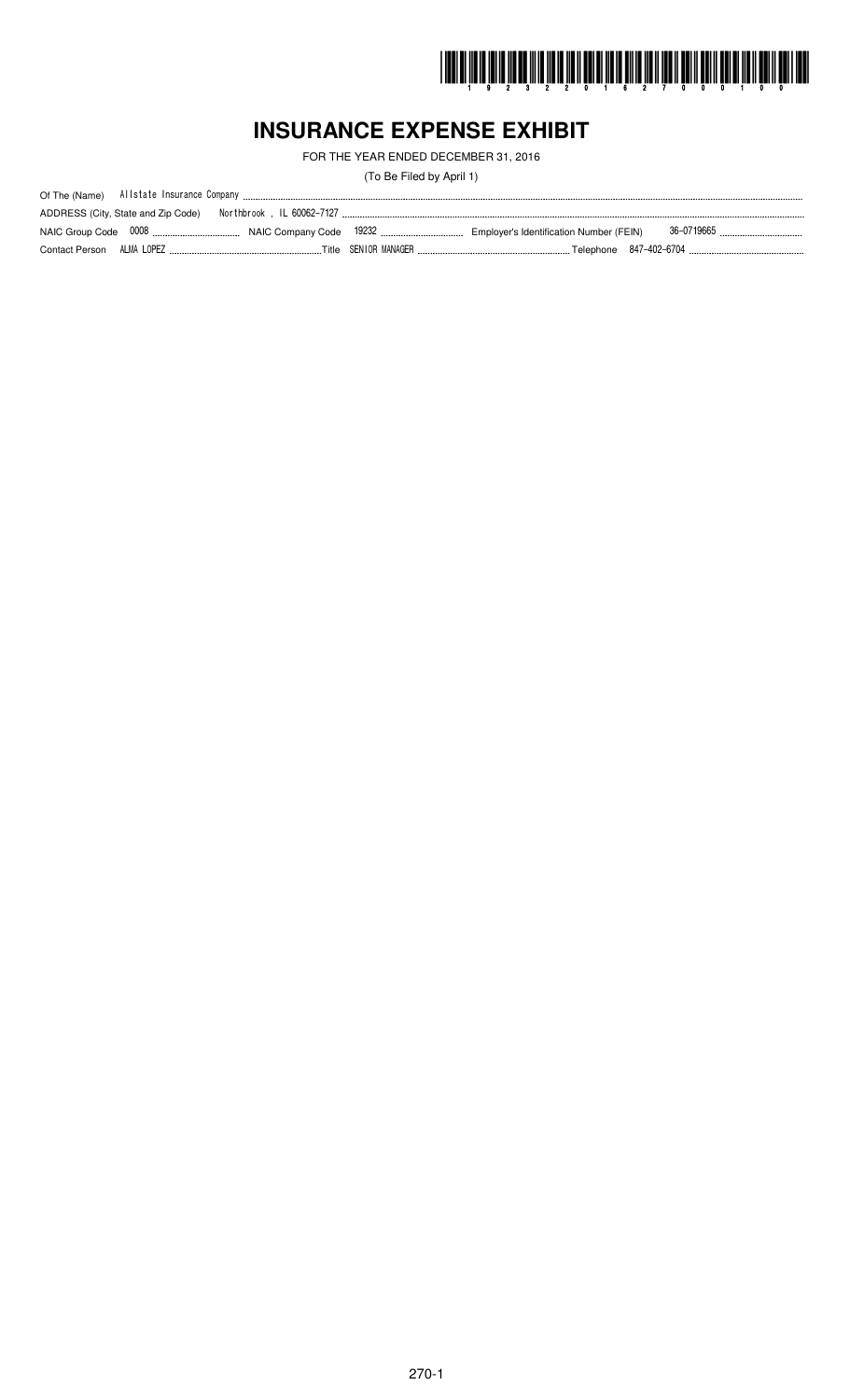

# **INSURANCE EXPENSE EXHIBIT**

FOR THE YEAR ENDED DECEMBER 31, 2016

(To Be Filed by April 1)

|                | ADDRESS (City, State and Zip Code) | Northbrook , IL 60062-7127 , |                                         |  |
|----------------|------------------------------------|------------------------------|-----------------------------------------|--|
|                |                                    |                              | Employer's Identification Number (FEIN) |  |
| Contact Person | ALMA LOPEZ                         |                              |                                         |  |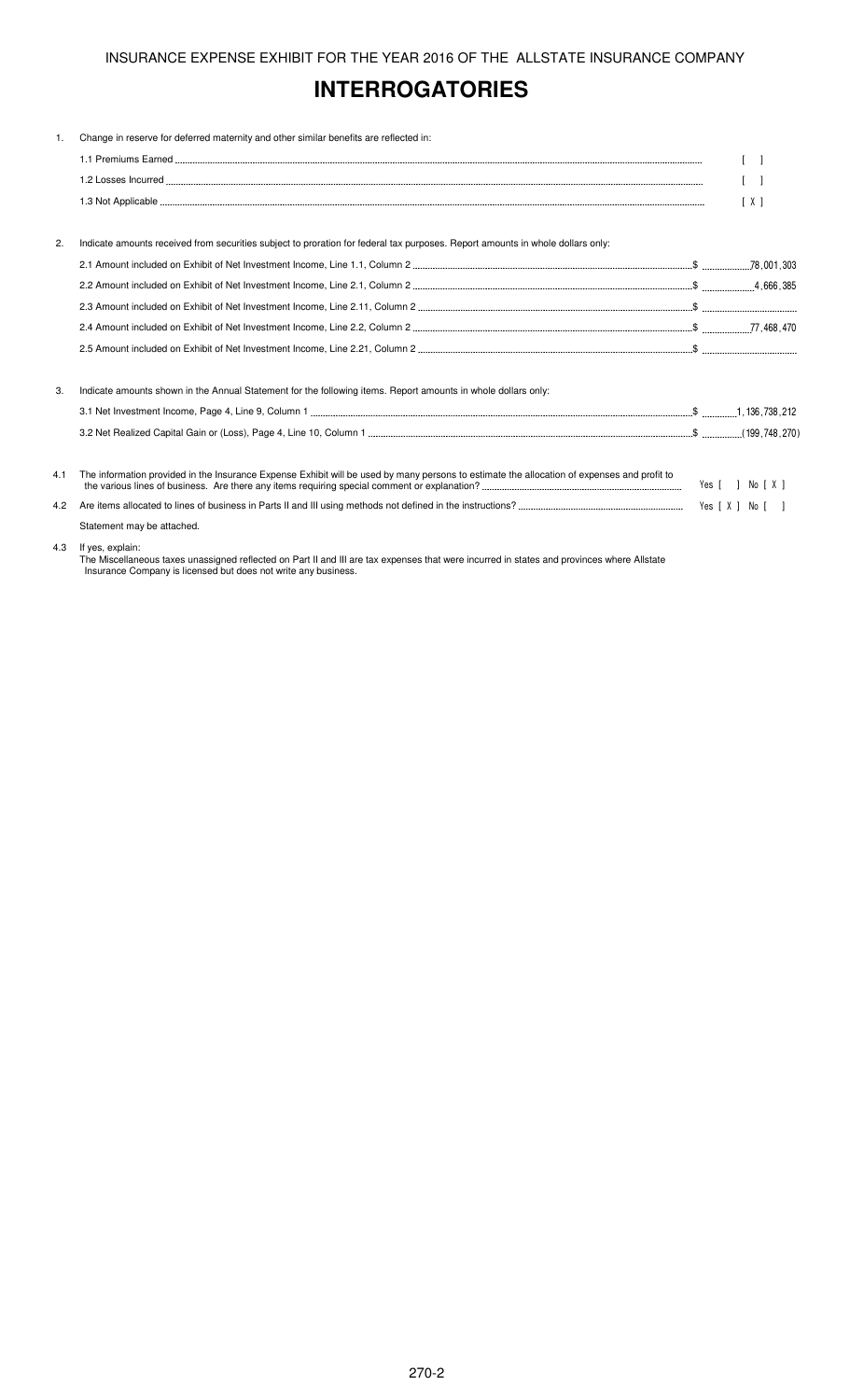# **INTERROGATORIES**

| 1.  | Change in reserve for deferred maternity and other similar benefits are reflected in:                                                       |                                   |
|-----|---------------------------------------------------------------------------------------------------------------------------------------------|-----------------------------------|
|     |                                                                                                                                             | $\begin{bmatrix} 1 \end{bmatrix}$ |
|     |                                                                                                                                             | $\lceil$ $\rceil$                 |
|     |                                                                                                                                             | [X]                               |
| 2.  | Indicate amounts received from securities subject to proration for federal tax purposes. Report amounts in whole dollars only:              |                                   |
|     |                                                                                                                                             |                                   |
|     |                                                                                                                                             |                                   |
|     |                                                                                                                                             |                                   |
|     |                                                                                                                                             |                                   |
|     |                                                                                                                                             |                                   |
| 3.  | Indicate amounts shown in the Annual Statement for the following items. Report amounts in whole dollars only:                               |                                   |
|     |                                                                                                                                             |                                   |
|     |                                                                                                                                             |                                   |
| 4.1 | The information provided in the Insurance Expense Exhibit will be used by many persons to estimate the allocation of expenses and profit to |                                   |
| 4.2 |                                                                                                                                             |                                   |
|     | Statement may be attached.                                                                                                                  |                                   |
| 4.3 | If yes, explain:                                                                                                                            |                                   |

The Miscellaneous taxes unassigned reflected on Part II and III are tax expenses that were incurred in states and provinces where Allstate Insurance Company is licensed but does not write any business.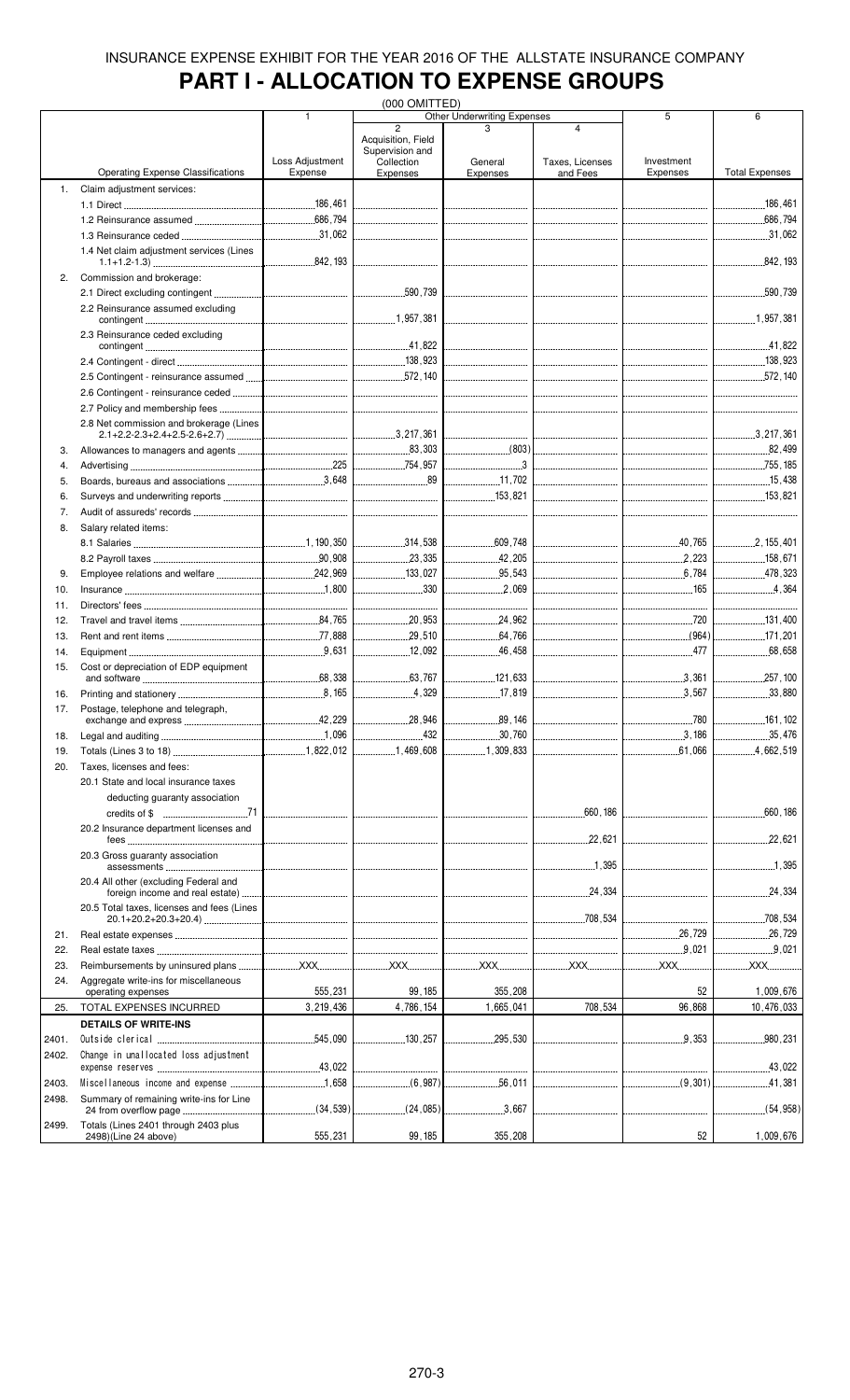# **PART I - ALLOCATION TO EXPENSE GROUPS**

|       |                                            |                 | (000 OMITTED)                  |                                         |                              |                                  |                               |
|-------|--------------------------------------------|-----------------|--------------------------------|-----------------------------------------|------------------------------|----------------------------------|-------------------------------|
|       |                                            | 1               | $\overline{2}$                 | <b>Other Underwriting Expenses</b><br>3 | 4                            | 5                                | 6                             |
|       |                                            |                 | Acquisition, Field             |                                         |                              |                                  |                               |
|       |                                            |                 | Supervision and                |                                         |                              |                                  |                               |
|       |                                            | Loss Adjustment | Collection                     | General                                 | Taxes, Licenses              | Investment                       |                               |
|       | <b>Operating Expense Classifications</b>   | Expense         | <b>Expenses</b>                | Expenses                                | and Fees                     | Expenses                         | <b>Total Expenses</b>         |
| 1.    | Claim adjustment services:                 |                 |                                |                                         |                              |                                  |                               |
|       |                                            |                 |                                |                                         |                              |                                  | 186,461                       |
|       |                                            |                 |                                |                                         |                              |                                  | 686,794                       |
|       |                                            |                 |                                |                                         |                              |                                  | 31,062                        |
|       | 1.4 Net claim adjustment services (Lines   |                 |                                |                                         |                              |                                  |                               |
|       |                                            |                 |                                |                                         |                              |                                  | .842,193                      |
| 2.    | Commission and brokerage:                  |                 |                                |                                         |                              |                                  |                               |
|       |                                            |                 |                                | -------------------------------         |                              | -------------------------------- | .590,739<br>                  |
|       | 2.2 Reinsurance assumed excluding          |                 |                                |                                         |                              |                                  |                               |
|       |                                            |                 |                                |                                         |                              |                                  |                               |
|       | 2.3 Reinsurance ceded excluding            |                 |                                |                                         |                              |                                  |                               |
|       |                                            |                 |                                |                                         |                              |                                  |                               |
|       |                                            |                 |                                |                                         |                              |                                  |                               |
|       |                                            |                 |                                |                                         |                              |                                  | $\frac{1}{2}$ 572, 140        |
|       |                                            |                 |                                |                                         |                              |                                  |                               |
|       |                                            |                 |                                |                                         |                              |                                  |                               |
|       | 2.7 Policy and membership fees             |                 |                                |                                         |                              |                                  |                               |
|       | 2.8 Net commission and brokerage (Lines    |                 |                                |                                         |                              |                                  |                               |
|       |                                            |                 |                                |                                         |                              |                                  |                               |
| 3.    |                                            |                 |                                |                                         |                              | ________________________________ | 82,499                        |
| 4.    |                                            |                 |                                | $\overline{\phantom{a}}$ 3              |                              |                                  | 755,185                       |
| 5.    |                                            |                 |                                | 11,702                                  |                              |                                  | 15,438                        |
| 6.    |                                            |                 |                                | <u> </u><br>153,821                     |                              |                                  | 153.821                       |
| 7.    |                                            |                 |                                |                                         |                              |                                  |                               |
|       |                                            |                 |                                |                                         |                              |                                  |                               |
| 8.    | Salary related items:                      |                 |                                |                                         |                              |                                  |                               |
|       |                                            |                 |                                | 609,748                                 |                              |                                  |                               |
|       |                                            |                 |                                |                                         |                              |                                  | 158,671                       |
| 9.    |                                            |                 | $\frac{133.027}{2}$            |                                         |                              |                                  | 478.323                       |
| 10.   |                                            |                 | 330                            |                                         |                              | 165                              | 4,364                         |
| 11.   |                                            |                 | ------------------------------ |                                         |                              |                                  | ----------------------------- |
| 12.   |                                            |                 |                                | 24,962                                  |                              | 720                              | 131,400                       |
| 13.   |                                            |                 | .29.510<br>.                   | .64,766                                 |                              | (964)                            | $\frac{171.201}{200}$         |
|       |                                            |                 | .12,092                        |                                         |                              | 477                              |                               |
| 14.   |                                            |                 |                                | 46,458                                  |                              |                                  | .68,658                       |
| 15.   | Cost or depreciation of EDP equipment      |                 | 63.767                         | 121,633                                 |                              | .3.361                           |                               |
|       |                                            |                 | .                              |                                         |                              |                                  |                               |
| 16.   |                                            |                 | 4.329<br>.                     | 17,819<br>.                             | ---------------------------- | 3.567<br>.                       | 33,880                        |
| 17.   | Postage, telephone and telegraph,          |                 | 28,946                         |                                         |                              |                                  |                               |
|       | exchange and express                       | 42,229          |                                | .89,146                                 |                              | .780                             | 161, 102                      |
| 18.   |                                            |                 | .432                           | .30,760<br>.                            |                              |                                  | 35,476                        |
| 19.   |                                            |                 | 1,469,608                      |                                         |                              | .61,066                          | 4.662.519                     |
| 20.   | Taxes. licenses and fees:                  |                 |                                |                                         |                              |                                  |                               |
|       | 20.1 State and local insurance taxes       |                 |                                |                                         |                              |                                  |                               |
|       | deducting guaranty association             |                 |                                |                                         |                              |                                  |                               |
|       |                                            |                 |                                |                                         |                              |                                  | .660, 186<br>.                |
|       | 20.2 Insurance department licenses and     |                 |                                |                                         |                              |                                  |                               |
|       |                                            |                 |                                |                                         | .22,621                      |                                  | .22,621                       |
|       | 20.3 Gross quaranty association            |                 |                                |                                         |                              |                                  |                               |
|       |                                            |                 |                                |                                         |                              |                                  | 1,395                         |
|       | 20.4 All other (excluding Federal and      |                 |                                |                                         |                              |                                  |                               |
|       |                                            |                 |                                |                                         | .24,334                      |                                  |                               |
|       | 20.5 Total taxes, licenses and fees (Lines |                 |                                |                                         |                              |                                  |                               |
|       |                                            |                 |                                |                                         |                              |                                  |                               |
| 21.   |                                            |                 |                                |                                         |                              |                                  |                               |
| 22.   |                                            |                 |                                |                                         |                              | .9.021                           | 9,021                         |
|       |                                            |                 |                                |                                         |                              |                                  | <u></u> XXX                   |
| 23.   |                                            |                 |                                |                                         |                              |                                  |                               |
| 24.   | Aggregate write-ins for miscellaneous      | 555,231         | 99, 185                        | 355,208                                 |                              | 52                               | 1,009,676                     |
|       | operating expenses                         |                 |                                |                                         |                              |                                  |                               |
| 25.   | TOTAL EXPENSES INCURRED                    | 3,219,436       | 4,786,154                      | 1,665,041                               | 708,534                      | 96,868                           | 10,476,033                    |
|       | <b>DETAILS OF WRITE-INS</b>                |                 |                                |                                         |                              |                                  |                               |
| 2401. |                                            |                 | 130,257                        |                                         |                              |                                  | .980,231<br>.                 |
| 2402. | Change in unallocated loss adjustment      |                 |                                |                                         |                              |                                  |                               |
|       |                                            |                 |                                |                                         |                              |                                  |                               |
| 2403. |                                            |                 |                                |                                         |                              |                                  | 41,381                        |
| 2498. | Summary of remaining write-ins for Line    |                 |                                |                                         |                              |                                  |                               |
|       |                                            |                 | (24,085)<br>.                  | 3,667                                   |                              | -------------------------------  | (54, 958)                     |
| 2499. | Totals (Lines 2401 through 2403 plus       |                 |                                |                                         |                              |                                  |                               |
|       | 2498)(Line 24 above)                       | 555,231         | 99, 185                        | 355,208                                 |                              | 52                               | 1,009,676                     |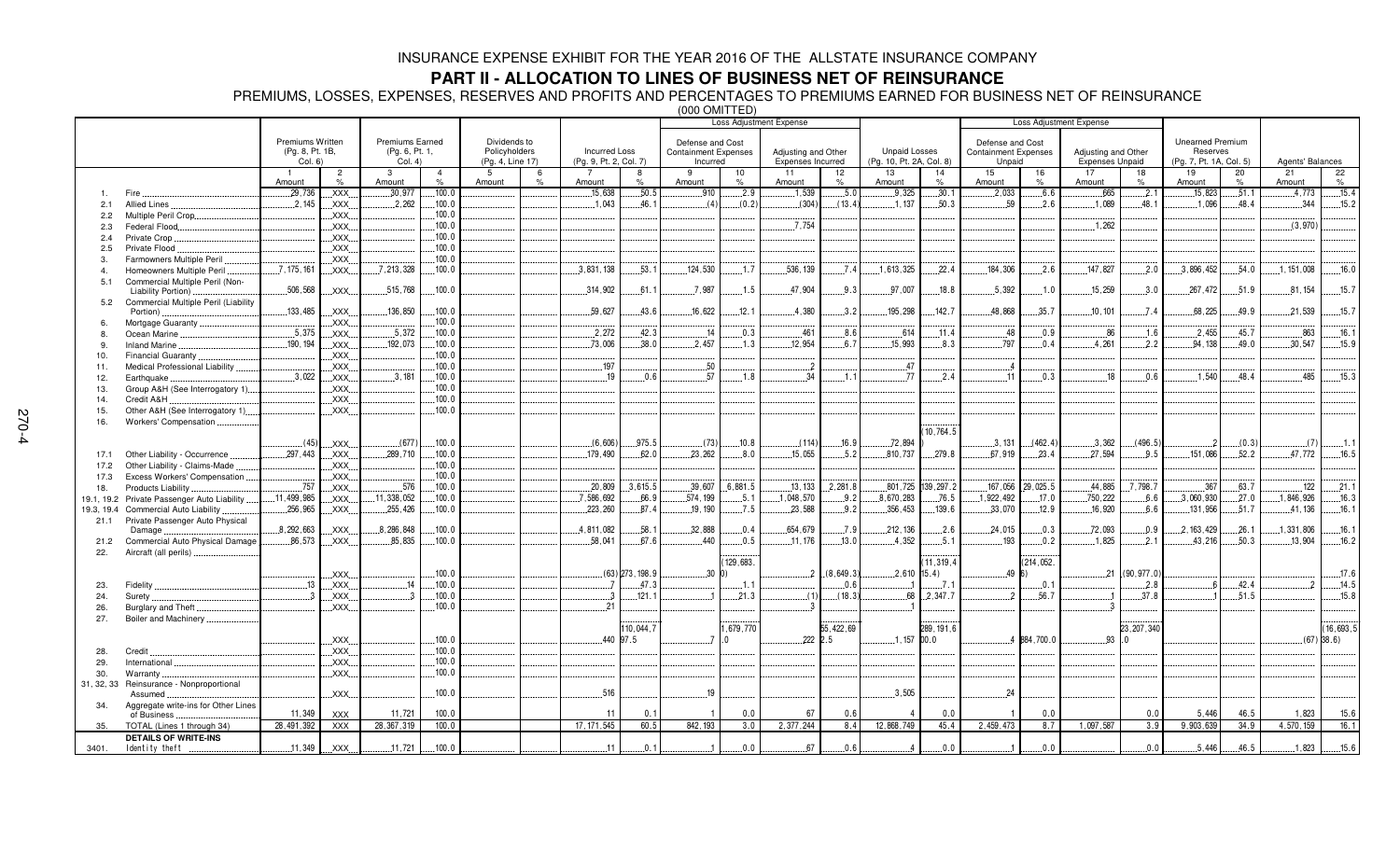# **PART II - ALLOCATION TO LINES OF BUSINESS NET OF REINSURANCE**

PREMIUMS, LOSSES, EXPENSES, RESERVES AND PROFITS AND PERCENTAGES TO PREMIUMS EARNED FOR BUSINESS NET OF REINSURANCE (000 OMITTED)

|                |                                          |                  |                                   |                 |                |                  |      |                        |                   | $000$ $01011$ $111$         |          | <b>Loss Adjustment Expense</b> |             |                          |                     |                             |             | <b>Loss Adjustment Expense</b> |                   |                         |       |                  |              |
|----------------|------------------------------------------|------------------|-----------------------------------|-----------------|----------------|------------------|------|------------------------|-------------------|-----------------------------|----------|--------------------------------|-------------|--------------------------|---------------------|-----------------------------|-------------|--------------------------------|-------------------|-------------------------|-------|------------------|--------------|
|                |                                          |                  |                                   |                 |                |                  |      |                        |                   |                             |          |                                |             |                          |                     |                             |             |                                |                   |                         |       |                  |              |
|                |                                          | Premiums Written |                                   | Premiums Earned |                | Dividends to     |      |                        |                   | Defense and Cost            |          |                                |             |                          |                     | Defense and Cost            |             |                                |                   | <b>Unearned Premium</b> |       |                  |              |
|                |                                          | (Pg. 8, Pt. 1B,  |                                   | (Pg. 6, Pt. 1,  |                | Policyholders    |      | <b>Incurred Loss</b>   |                   | <b>Containment Expenses</b> |          | Adjusting and Other            |             | <b>Unpaid Losses</b>     |                     | <b>Containment Expenses</b> |             | Adjusting and Other            |                   | Reserves                |       |                  |              |
|                |                                          | Col. 6)          |                                   | Col. 4)         |                | (Pg. 4, Line 17) |      | (Pg. 9, Pt. 2, Col. 7) |                   | Incurred                    |          | Expenses Incurred              |             | (Pg. 10, Pt. 2A, Col. 8) |                     | Unpaid                      |             | <b>Expenses Unpaid</b>         |                   | (Pg. 7, Pt. 1A, Col. 5) |       | Agents' Balances |              |
|                |                                          |                  | $\overline{2}$                    | 3               | $\overline{4}$ | -5               | 6    |                        |                   | 9                           | 10       | 11                             | 12          | 13                       | 14                  | 15                          | 16          | 17                             | 18                | 19                      | 20    | 21               | 22           |
|                |                                          | Amount           | %                                 | Amount          | $\%$           | Amount           | $\%$ | Amount                 | O/                | Amount                      | $\%$     | Amount                         | $\%$        | Amount                   | $\%$                | Amount                      | $\%$        | Amount                         | %                 | Amount                  | $\%$  | Amount           | %            |
|                | Fire                                     | 29,736           | .XXX.                             | .30,977         | 100.0          |                  |      | .15,638                | .50.5             | .910                        | .2.9     | .1,539                         | .5.0        | .9,325                   | .30.1               | .2,033                      | .6.6        | .665                           | .2.1              | .15,823                 | .51.1 | .4.773           | .15.4        |
| 2.1            | <b>Allied Lines</b>                      | 2.145            | .XXX.                             | 2.262           | 100.0          |                  |      | .1.043                 | 46.1              | (4)                         | (0.2)    | (304)                          | (13.4)      | .1.137                   | .50.3               | 59                          | .2.6        | 1.089                          | 48.1              | .1,096                  | 48.4  | 344              | .15.2        |
| 2.2            | Multiple Peril Crop                      |                  | XXX.                              |                 | 100.0          |                  |      |                        |                   |                             |          |                                |             |                          |                     |                             |             |                                |                   |                         |       |                  |              |
| 2.3            | Federal Flood                            |                  | XXX.                              |                 | 100.0          |                  |      |                        |                   |                             |          | .7.754                         |             |                          |                     |                             |             | .1,262                         |                   |                         |       | (3,970)          |              |
|                |                                          |                  | <b>XXX</b>                        |                 | 100.0          |                  |      |                        |                   |                             |          |                                |             |                          |                     |                             |             |                                |                   |                         |       |                  |              |
| 2.4            | Private Crop                             |                  |                                   |                 | 100.0          |                  |      |                        |                   |                             |          |                                |             |                          |                     |                             |             |                                |                   |                         |       |                  |              |
| 2.5            | Private Flood                            |                  | XXX.                              |                 |                |                  |      |                        |                   |                             |          |                                |             |                          |                     |                             |             |                                |                   |                         |       |                  |              |
| 3.             | Farmowners Multiple Peril                |                  | XXX.                              |                 | .100.0         |                  |      |                        |                   |                             |          |                                |             |                          |                     |                             |             |                                |                   |                         |       |                  |              |
| $\overline{4}$ | Homeowners Multiple Peril                | .7.175.161       | .XXX.                             | .7.213.328      | .100.0         |                  |      | .3,831,138             | .53.1             | .124,530                    | .1.7     | .536, 139                      | .7.4        | .1.613.325               | .22.4               | 184,306                     | .2.6        | .147,827                       | .2.0              | .3,896,452              | .54.0 | 1, 151, 008      | .16.0        |
| 5.1            | Commercial Multiple Peril (Non-          |                  |                                   |                 |                |                  |      |                        |                   |                             |          |                                |             |                          |                     |                             |             |                                |                   |                         |       |                  |              |
|                | Liability Portion)                       | .506,568         | XXX.                              | 515,768         | 100.0          |                  |      | 314,902                | 61.1              | .7,987                      | 1.5      | 47,904                         | 9.3         | 97.007                   | 18.8                | .5,392                      | .1.0        | 15,259                         | 3.0               | 267.472                 | .51.9 | 81, 154          | 15.7         |
| 5.2            | Commercial Multiple Peril (Liability     |                  |                                   |                 |                |                  |      |                        |                   |                             |          |                                |             |                          |                     |                             |             |                                |                   |                         |       |                  |              |
|                | Portion)                                 | 133,485          | .XXX.                             | .136,850        | 100.0          |                  |      | 59,627                 | 43.6              | 16,622                      | .12.1    | .4,380                         | .3.2        | 195,298                  | .142.7              | 48,868                      | .35.7       | .10, 101                       | .7.4              | .68,225                 | .49.9 | .21,539          | .15.7        |
| 6              | Mortgage Guaranty                        |                  | XXX.                              |                 | 100.0          |                  |      |                        |                   |                             |          |                                |             |                          |                     |                             |             |                                |                   |                         |       |                  |              |
| 8.             | Ocean Marine                             | .5.375           | XXX.                              | .5.372          | 100.0          |                  |      | 2,272                  | 42.3              | 14                          | 0.3      | .461                           | 8.6         | .614                     | .11.4               | 48                          | 0.9         | 86                             | .1.6              | .2.455                  | 45.7  | 863              | .16.1        |
| 9.             | <b>Inland Marine</b>                     | .190, 194        | $XXX$ .                           | .192,073        | 100.0          |                  |      | .73,006                | .38.0             | .2.457                      | .1.3     | 12,954                         | 6.7         | .15,993                  | .8.3                | .797                        | .0.4        | .4,261                         | .2.2              | .94, 138                | .49.0 | .30,547          | .15.9        |
| 10.            | <b>Financial Guaranty</b>                |                  | .XXX.                             |                 | 100.0          |                  |      |                        |                   |                             |          |                                |             |                          |                     |                             |             |                                |                   |                         |       |                  |              |
| 11.            | Medical Professional Liability           |                  | .XXX.                             |                 | .100.0         |                  |      | .197                   |                   | .50                         |          | $\overline{2}$                 |             | .47                      |                     | - 4                         |             |                                |                   |                         |       |                  |              |
| 12.            | Earthquake                               | .3,022           | .XXX.                             | .3.181          | .100.0         |                  |      | 19                     | .0.6              | .57                         | .1.8     | .34                            | .1.1        | .77                      | .2.4                | .11                         | .0.3        | .18                            | .0.6              | 1,540                   | .48.4 | .485             | .15.3        |
| 13.            | Group A&H (See Interrogatory 1).         |                  | .XXX.                             |                 | 100.0          |                  |      |                        |                   |                             |          |                                |             |                          |                     |                             |             |                                |                   |                         |       |                  |              |
| 14.            | Credit A&H                               |                  | .XXX.                             |                 | 100.0          |                  |      |                        |                   |                             |          |                                |             |                          |                     |                             |             |                                |                   |                         |       |                  |              |
| 15.            | Other A&H (See Interrogatory 1)          |                  | $\overline{X}$ XXX.               |                 | 100.0          |                  |      |                        |                   |                             |          |                                |             |                          |                     |                             |             |                                |                   |                         |       |                  |              |
| 16.            | Workers' Compensation                    |                  |                                   |                 |                |                  |      |                        |                   |                             |          |                                |             |                          |                     |                             |             |                                |                   |                         |       |                  |              |
|                |                                          |                  |                                   |                 |                |                  |      |                        |                   |                             |          |                                |             |                          | 10.764.5            |                             |             |                                |                   |                         |       |                  |              |
|                |                                          | (45)             | XXX.                              | (677)           | .100.0         |                  |      | (6,606)                | 975.5             | (73)                        | .10.8    | (114)                          | .16.9       | .72,894                  |                     | .3,131                      | (462.4)     | .3,362                         | (496.5)           |                         | (0.3) | (7)              | 1.1          |
| 17.1           | Other Liability - Occurrence.            | .297,443         | .XXX.                             | .289.710        | 100.0          |                  |      | 179.490                | 62.0              | 23.262                      | .8.0     | .15.055                        | .5.2        | 810.737                  | .279.8              | .67.919                     | .23.4       | .27.594                        | .9.5              | 151.086                 | .52.2 | 47,772           | .16.5        |
|                | Other Liability - Claims-Made            |                  | XXX.                              |                 | .100.0         |                  |      |                        |                   |                             |          |                                |             |                          |                     |                             |             |                                |                   |                         |       |                  |              |
| 17.2           |                                          |                  |                                   |                 | 100.0          |                  |      |                        |                   |                             |          |                                |             |                          |                     |                             |             |                                |                   |                         |       |                  |              |
| 17.3           | Excess Workers' Compensation             | .757             | .XXX.                             | .576            | .100.0         |                  |      | .20, 809               | .3,615.5          |                             | .6,881.5 |                                | .2.281.8    |                          | .801,725 .139,297.2 | 167,056                     | 29,025.5    |                                | .7.798.7          |                         | .63.7 | .122             | .21.1        |
| 18.            | Products Liability                       |                  | XXX.                              |                 |                |                  |      |                        |                   | .39,607                     |          | .13, 133                       |             |                          |                     |                             |             | .44,885                        |                   | .367                    |       |                  |              |
| 19.1, 19.2     | Private Passenger Auto Liability         | .11,499,985      | .XXX.                             | .11,338,052     | 100.0          |                  |      | 7,586,692              | .66.9             | .574, 199                   | . 5.1    | .1.048.570                     | .9.2        | 8,670,283                | .76.5               | 1,922,492                   | .17.0       | .750,222                       | 6.6               | .3,060,930              | .27.0 | 1,846,926        | .16.3        |
| 19.3, 19.4     | <b>Commercial Auto Liability</b>         | .256,965         | XXX.                              | .255,426        | 100.0          |                  |      | 223,260                | 87.4              | .19.190                     | .7.5     | .23,588                        | .9.2        | .356,453                 | .139.6              | .33,070                     | .12.9       | .16,920                        | 6.6               | .131,956                | .51.7 | .41, 136         | .16.1        |
| 21.1           | Private Passenger Auto Physical          |                  |                                   |                 | 100.0          |                  |      |                        |                   |                             | 0.4      | 654,679                        |             |                          |                     |                             |             |                                |                   |                         |       |                  |              |
|                | Damage                                   | .8, 292, 663     | XXX.                              | .8,286,848      |                |                  |      | 4,811,082              | 58.1              | .32,888                     |          |                                | .7.9        | 212, 136                 | .2.6                | 24,015                      | .0.3        | .72,093                        | .0.9              | 2, 163, 429             | .26.1 | 1,331,806        | .16.1        |
| 21.2           | Commercial Auto Physical Damage          | 86,573           | .XXX.                             | .85,835         | 100.0          |                  |      | .58,041                | 67.6              | .440                        | .0.5     | .11,176                        | .13.0       | .4,352                   | 5.1                 | 193                         | .0.2        | .1,825                         | .2.1              | 43,216                  | .50.3 | .13,904          | 16.2         |
| 22.            | Aircraft (all perils).                   |                  |                                   |                 |                |                  |      |                        |                   |                             |          |                                |             |                          |                     |                             |             |                                |                   |                         |       |                  |              |
|                |                                          |                  |                                   |                 |                |                  |      |                        |                   |                             | 129,683. |                                |             |                          | 11,319,4            |                             | (214, 052.  |                                |                   |                         |       |                  |              |
|                |                                          |                  | XXX.                              |                 | 100.0          |                  |      |                        | $(63)$ 273, 198.9 | 30                          |          |                                | 2(8,649.3)  |                          | $2,610$ 15.4)       | 49 6)                       |             |                                | $21$ $(90,977.0)$ |                         |       |                  | .17.6        |
| 23.            | Fidelity                                 | .13              | XXX.                              | 14              | .100.0         |                  |      | $\overline{7}$         | 47.3              |                             | 1.1      |                                | .0.6        |                          | 7.1                 |                             | .0.1        |                                | .2.8              |                         | 42.4  | ່າ               | .14.5        |
| 24.            | Surety                                   | $\cdot$ 3        | XXX.                              | -3              | .100.0         |                  |      | $\cdot$ 3              | .121.1            |                             | .21.3    | (1)                            | (18.3)      | .68                      | .2.347.7            | $\overline{\phantom{a}}$    | .56.7       |                                | .37.8             |                         | .51.5 |                  | .15.8        |
| 26.            | Burglary and Theft                       |                  | .XXX.                             |                 | .100.0         |                  |      | 21                     |                   |                             |          |                                |             |                          |                     |                             |             |                                |                   |                         |       |                  |              |
| 27.            | Boiler and Machinery.                    |                  |                                   |                 |                |                  |      |                        |                   |                             |          |                                |             |                          |                     |                             |             |                                |                   |                         |       |                  |              |
|                |                                          |                  |                                   |                 |                |                  |      |                        | 110,044,7         |                             | ,679,770 |                                | 55, 422, 69 |                          | 289, 191, 6         |                             |             |                                | 23, 207, 340      |                         |       |                  | 16,693,5     |
|                |                                          |                  | $\overline{X}$ XXX.               |                 | .100.0         |                  |      |                        | 440 97.5          |                             |          |                                | 222 2.5     | $1.157$ 00.0             |                     |                             | 4 884,700.0 | $93 \cdot 0$                   |                   |                         |       |                  | $(67)$ 38.6) |
| 28.            | Credit                                   |                  | <b>XXX</b>                        |                 | 100.0          |                  |      |                        |                   |                             |          |                                |             |                          |                     |                             |             |                                |                   |                         |       |                  |              |
| 29.            | International                            |                  | $\overline{.}$ XXX $\overline{.}$ |                 | 100.0          |                  |      |                        |                   |                             |          |                                |             |                          |                     |                             |             |                                |                   |                         |       |                  |              |
| 30.            | Warranty                                 |                  | XXX.                              |                 | .100.0         |                  |      |                        |                   |                             |          |                                |             |                          |                     |                             |             |                                |                   |                         |       |                  |              |
|                | 31, 32, 33 Reinsurance - Nonproportional |                  |                                   |                 |                |                  |      |                        |                   |                             |          |                                |             |                          |                     |                             |             |                                |                   |                         |       |                  |              |
|                | Assumed                                  |                  | XXX.                              |                 | 100.0          |                  |      | 516                    |                   | 19                          |          |                                |             | 3,505                    |                     | 24                          |             |                                |                   |                         |       |                  |              |
| 34.            | Aggregate write-ins for Other Lines      |                  |                                   |                 |                |                  |      |                        |                   |                             |          |                                |             |                          |                     |                             |             |                                |                   |                         |       |                  |              |
|                | of Business                              | 11,349           | <b>XXX</b>                        | 11,721          | 100.0          |                  |      | 11                     | 0.1               | $\overline{1}$              | 0.0      | 67                             | 0.6         |                          | 0.0                 | $\overline{1}$              | 0.0         |                                | 0.0               | 5,446                   | 46.5  | 1,823            | 15.6         |
| 35.            | TOTAL (Lines 1 through 34)               | 28,491,392       | <b>XXX</b>                        | 28, 367, 319    | 100.0          |                  |      | 17, 171, 545           | 60.5              | 842, 193                    | 3.0      | 2,377,244                      | 8.4         | 12,868,749               | 45.4                | 2,459,473                   | 8.7         | 1,097,587                      | 3.9               | 9,903,639               | 34.9  | 4,570,159        | 16.1         |
|                | <b>DETAILS OF WRITE-INS</b>              |                  |                                   |                 |                |                  |      |                        |                   |                             |          |                                |             |                          |                     |                             |             |                                |                   |                         |       |                  |              |
| 3401.          | Identity theft                           | .11,349          | XXX.                              | .11,721         | 100.0          |                  |      | .11                    | 0.1               |                             | 0.0      | 67                             | 0.6         |                          | .0.0                | $\overline{1}$              | 0.0         |                                | 0.0               | 5.446                   | 46.5  | .1.823           | .15.6        |
|                |                                          |                  |                                   |                 |                |                  |      |                        |                   |                             |          |                                |             |                          |                     |                             |             |                                |                   |                         |       |                  |              |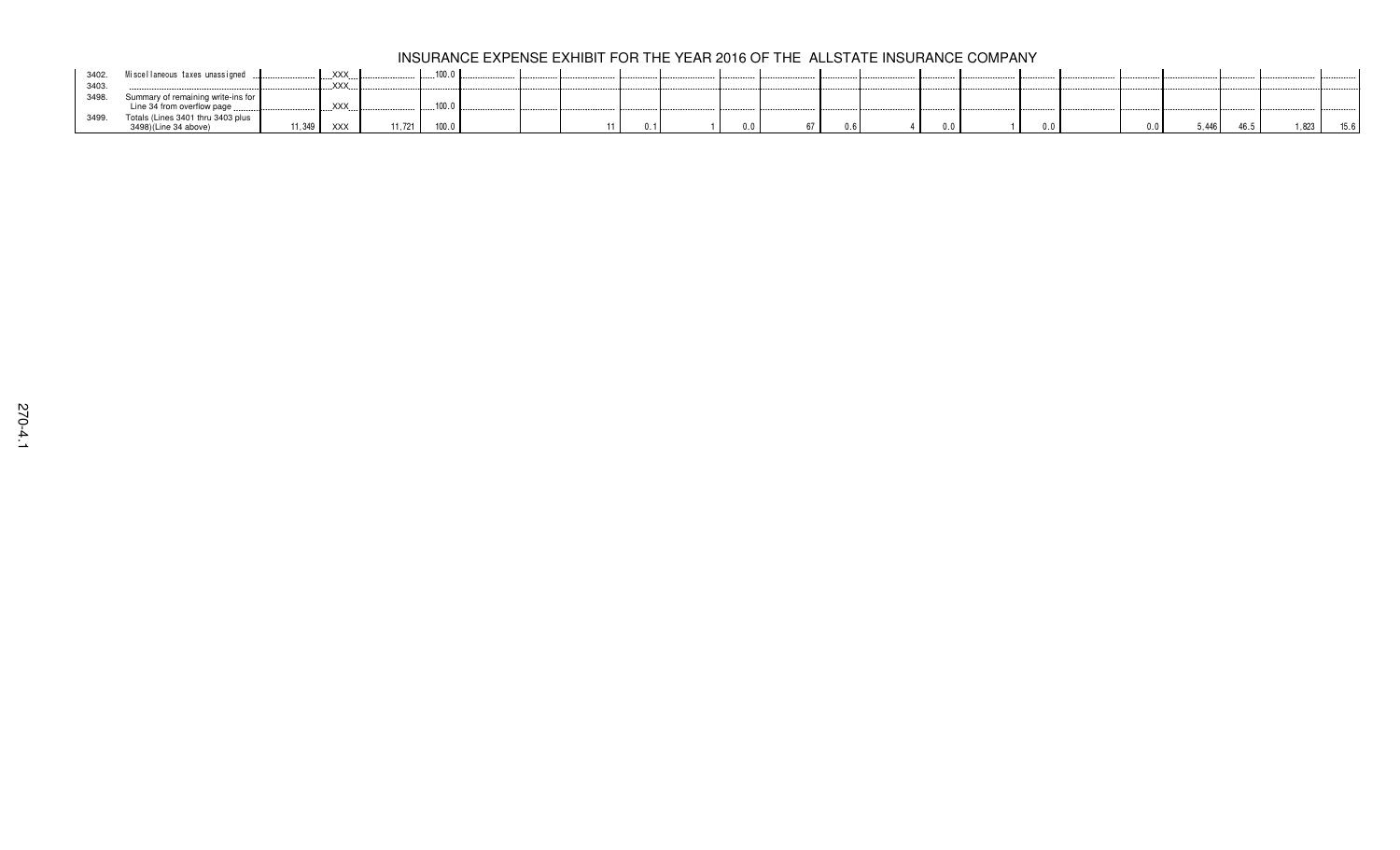| 3402. | Miscellaneous taxes unassigned                                    | XXX.       | 100.0            |  |  |  |     |     |     |       |
|-------|-------------------------------------------------------------------|------------|------------------|--|--|--|-----|-----|-----|-------|
| 3403  |                                                                   | XXX.       |                  |  |  |  |     |     |     |       |
| 3498. | Summary of remaining write-ins for<br>Line 34 from overflow page. | .XXX.      | 100 <sub>0</sub> |  |  |  |     |     |     |       |
| 3499. | Totals (Lines 3401 thru 3403 plus                                 |            |                  |  |  |  |     |     |     |       |
|       | 11.349<br>3498)(Line 34 above)                                    | <b>XXX</b> | 100.0<br>1.721   |  |  |  | 0.0 | v.v | 446 | 1,823 |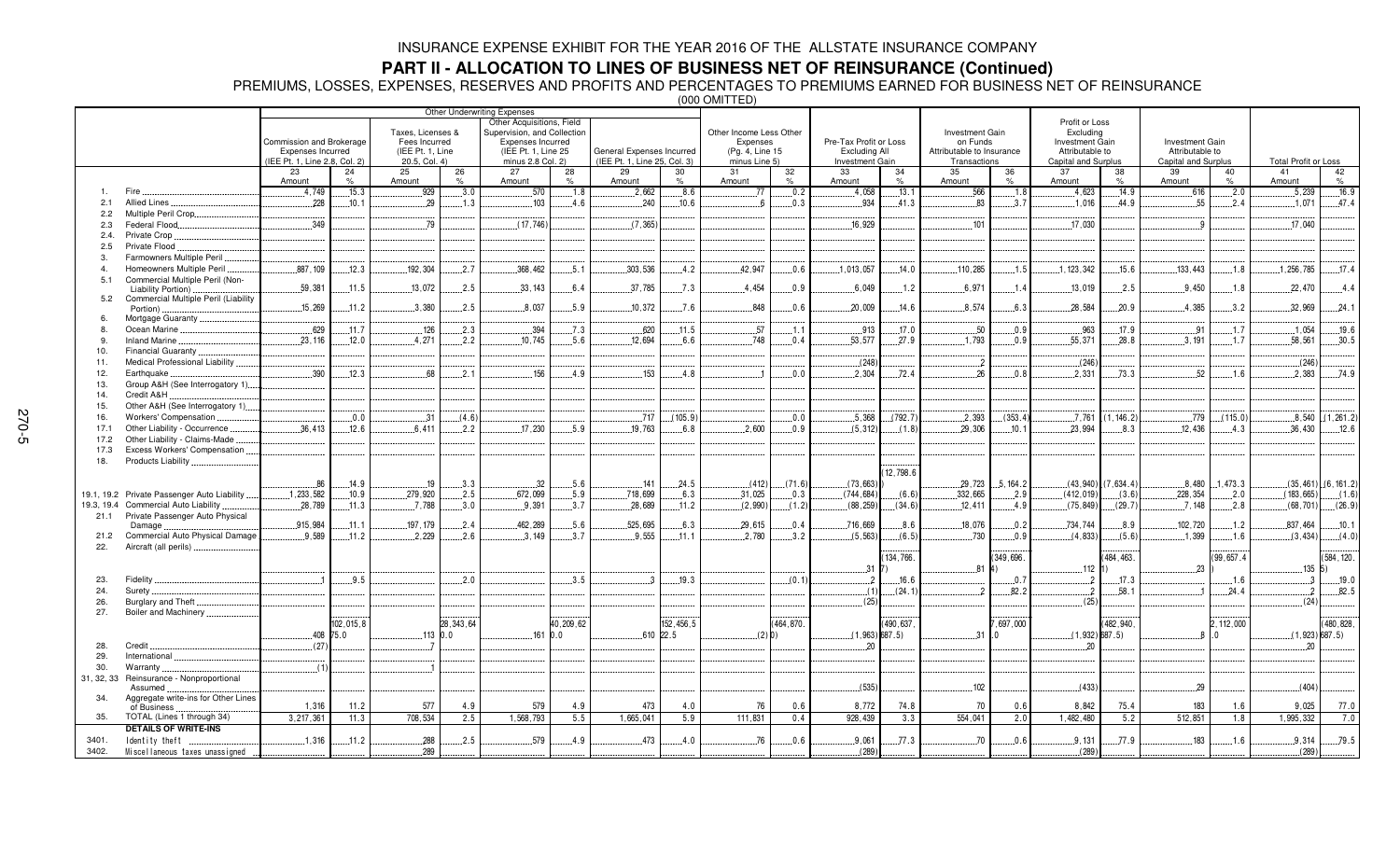**PART II - ALLOCATION TO LINES OF BUSINESS NET OF REINSURANCE (Continued)<br>PREMIUMS, LOSSES, EXPENSES, RESERVES AND PROFITS AND PERCENTAGES TO PREMIUMS EARNED FOR BUSINESS NET OF REINSURANCE<br>‱** 

|               |                                                        | Other Underwriting Expenses                   |           |                                   |             |                                                          |            |                              |            |                             |            |                                                |          |                                       |           |                                    |                        |                                           |              |                             |
|---------------|--------------------------------------------------------|-----------------------------------------------|-----------|-----------------------------------|-------------|----------------------------------------------------------|------------|------------------------------|------------|-----------------------------|------------|------------------------------------------------|----------|---------------------------------------|-----------|------------------------------------|------------------------|-------------------------------------------|--------------|-----------------------------|
|               |                                                        |                                               |           | Taxes, Licenses &                 |             | Other Acquisitions, Field<br>Supervision, and Collection |            |                              |            | Other Income Less Other     |            |                                                |          | <b>Investment Gain</b>                |           | Profit or Loss<br>Excluding        |                        |                                           |              |                             |
|               |                                                        | Commission and Brokerage<br>Expenses Incurred |           | Fees Incurred<br>(IEE Pt. 1, Line |             | Expenses Incurred<br>(IEE Pt. 1, Line 25                 |            | General Expenses Incurred    |            | Expenses<br>(Pg. 4, Line 15 |            | Pre-Tax Profit or Loss<br><b>Excluding All</b> |          | on Funds<br>Attributable to Insurance |           | Investment Gain<br>Attributable to |                        | <b>Investment Gain</b><br>Attributable to |              |                             |
|               |                                                        | (IEE Pt. 1. Line 2.8, Col. 2)                 |           | 20.5, Col. 4)                     |             | minus 2.8 Col. 2)                                        |            | (IEE Pt. 1, Line 25, Col. 3) |            | minus Line 5)               |            | <b>Investment Gain</b>                         |          | Transactions                          |           | Capital and Surplus                |                        | Capital and Surplus                       |              | <b>Total Profit or Loss</b> |
|               |                                                        | 23<br>Amount                                  | 24<br>%   | 25<br>Amount                      | 26<br>$\%$  | 27<br>Amount                                             | 28<br>$\%$ | 29<br>Amount                 | 30<br>$\%$ | 31<br>Amount                | 32<br>$\%$ | 33<br>Amount                                   | 34<br>%  | 35<br>Amount                          | 36        | 37<br>Amount                       | 38<br>$\%$             | 39<br>Amount                              | 40<br>$\%$   | 41<br>42<br>$\%$<br>Amount  |
| $\mathbf{1}$  | Fire                                                   | .4.749                                        | .15.3     | 929                               | .3.0        | .570                                                     | .1.8       | .2,662                       | .8.6       | 77                          | .0.2       | .4.058                                         | .13.1    | .566                                  | .1.8      | .4.623                             | 14.9                   | .616                                      | .2.0         | .16.9<br>.5,239             |
| 2.1           | Allied Lines                                           | 228                                           | 10.1      | 29                                | 1.3         | 103                                                      | 4.6        | .240                         | 10.6       |                             | .0.3       | 934                                            | 41.3     | 83                                    | .3.7      | 1.016                              | 44.9                   | 55                                        | 2.4          | 47.4<br>1.071               |
| 2.2           | Multiple Peril Crop.                                   |                                               |           |                                   |             |                                                          |            |                              |            |                             |            |                                                |          |                                       |           |                                    |                        |                                           |              |                             |
| 2.3           | Federal Flood                                          | .349                                          |           | .79                               |             | (17.746)                                                 |            | (7.365)                      |            |                             |            | 16.929                                         |          | 101                                   |           | .17.030                            |                        | - Q                                       |              | 17.040                      |
| 2.4.          | Private Crop.                                          |                                               |           |                                   |             |                                                          |            |                              |            |                             |            |                                                |          |                                       |           |                                    |                        |                                           |              |                             |
| 2.5           | Private Flood                                          |                                               |           |                                   |             |                                                          |            |                              |            |                             |            |                                                |          |                                       |           |                                    |                        |                                           |              |                             |
| $\mathcal{R}$ | Farmowners Multiple Peril                              |                                               |           |                                   |             |                                                          |            |                              |            |                             |            |                                                |          |                                       |           |                                    |                        |                                           |              |                             |
|               | Homeowners Multiple Peril                              | .887, 109                                     | 12.3      | .192,304                          | $-2.7$      | .368,462                                                 | .5.1       | .303,536                     | 4.2        | 42,947                      | .0.6       | .1,013,057                                     | .14.0    | .110,285                              | .1.5      | 1, 123, 342                        | .15.6                  | 133,443                                   | .1.8         | .17.4<br>1,256,785          |
| 5.1           | Commercial Multiple Peril (Non-<br>Liability Portion). | 59,381                                        | .11.5     | .13,072                           | .2.5        | .33,143                                                  | 6.4        | .37,785                      | $-.7.3$    | .4.454                      | .0.9       | .6,049                                         | .1.2     | .6,971                                | 1.4       | .13,019                            | .2.5                   | .9,450                                    | .1.8         | .22,470<br>.4.4             |
| 5.2           | Commercial Multiple Peril (Liability                   |                                               |           |                                   |             |                                                          |            |                              |            |                             |            |                                                |          |                                       |           |                                    |                        |                                           |              |                             |
|               | Portion).                                              | .15,269                                       | .11.2     | .3,380                            | .2.5        | .8,037                                                   | 5.9        | 10.372                       | .7.6       | 848                         | .0.6       | .20.009                                        | .14.6    | .8,574                                | 6.3       | .28.584                            | 20.9                   | .4.385                                    | 3.2          | .32,969<br>.24.1            |
| 6             | Mortgage Guaranty.                                     |                                               |           |                                   |             |                                                          |            |                              |            |                             |            |                                                |          |                                       |           |                                    |                        |                                           |              |                             |
| 8             | Ocean Marine                                           | .629                                          | .11.7     | .126                              | .2.3        | .394                                                     | .7.3       | .620                         | .11.5      | .57                         | .1.1       | .913                                           | .17.0    | .50                                   | 0.9       | .963                               | .17.9                  | .91                                       | .1.7         | .1.054<br>.19.6             |
| -9<br>10.     | Inland Marine<br><b>Financial Guaranty</b>             | .23.116                                       | .12.0     | 4.271                             | 2.2         | .10.745                                                  | 5.6        | 12.694                       | 6.6        | 748                         | 0.4        | 53.577                                         | 27.9     | 1.793                                 | 0.9       | 55.371                             | 28.8                   | .3.191                                    | 1.7          | 58.561<br>.30.5             |
| 11.           | Medical Professional Liability                         |                                               |           |                                   |             |                                                          |            |                              |            |                             |            | (248)                                          |          | $\overline{2}$                        |           | (246)                              |                        |                                           |              | (246)                       |
| 12.           | Earthquake                                             | 390                                           | 12.3      | 68                                | 2.1         | 156                                                      | 4.9        | 153                          | 4.8        |                             | 0.0        | 2.304                                          | 72.4     | 26                                    | 0.8       | 2,331                              | 73.3                   | 52                                        | 1.6          | 2.383<br>74.9               |
| 13.           | Group A&H (See Interrogatory 1)                        |                                               |           |                                   |             |                                                          |            |                              |            |                             |            |                                                |          |                                       |           |                                    |                        |                                           |              |                             |
| 14.           | Credit A&H.                                            |                                               |           |                                   |             |                                                          |            |                              |            |                             |            |                                                |          |                                       |           |                                    |                        |                                           |              |                             |
| 15.           | Other A&H (See Interrogatory 1)                        |                                               |           |                                   |             |                                                          |            |                              |            |                             |            |                                                |          |                                       |           |                                    |                        |                                           |              |                             |
| 16.           | Workers' Compensation                                  |                                               | .0.0      | .31                               | (4.6)       |                                                          |            | .717                         | (105.9)    |                             | .0.0       | .5,368                                         | (792.7)  | .2,393                                | (353.4)   | .7,761                             | 1, 146.2)              | 779                                       | (115.0)      | $.8,540$ $(1,261.2)$        |
| 17.1          | Other Liability - Occurrence                           | .36,413                                       | .12.6     | 6.411                             | 2.2         | .17.230                                                  | 5.9        | 19,763                       | 6.8        | 2.600                       | 0.9        | (5,312)                                        | (1.8)    | .29.306                               | .10.1     | .23,994                            | .8.3                   | .12.436                                   | 4.3          | 36,430<br>12.6              |
| 17.2          | Other Liability - Claims-Made.                         |                                               |           |                                   |             |                                                          |            |                              |            |                             |            |                                                |          |                                       |           |                                    |                        |                                           |              |                             |
| 17.3<br>18.   | Excess Workers' Compensation<br>Products Liability     |                                               |           |                                   |             |                                                          |            |                              |            |                             |            |                                                |          |                                       |           |                                    |                        |                                           |              |                             |
|               |                                                        |                                               |           |                                   |             |                                                          |            |                              |            |                             |            |                                                | 12,798.6 |                                       |           |                                    |                        |                                           |              |                             |
|               |                                                        | .86                                           | .14.9     | .19                               | .3.3        | .32                                                      | .5.6       | .141                         | .24.5      | (412)                       | (71.6)     | (73,663)                                       |          | .29,723                               | .5, 164.2 |                                    | $(43,940)$ $(7,634.4)$ | .8,480                                    | 1,473.3      | $(35, 461)$ $(6, 161.2)$    |
|               | 19.1, 19.2 Private Passenger Auto Liability            | .1, 233, 582                                  | .10.9     | .279,920                          | .2.5        | .672,099                                                 | .5.9       | .718,699                     | .6.3       | .31,025                     | .0.3       | (744, 684)                                     | (6.6)    | .332,665                              | .2.9      | (412, 019)                         | (3.6)                  | .228,354                                  | 2.0          | (183, 665)<br>(1.6)         |
| 19.3, 19.4    | Commercial Auto Liability                              | .28.789                                       | .11.3     | .7.788                            | .3.0        | .9.391                                                   | .3.7       | .28,689                      | .11.2      | (2,990)                     | (1.2)      | (88, 259)                                      | (34.6)   | .12,411                               | .4.9      | (75, 849)                          | (29.7)                 | .7.148                                    | .2.8         | (68, 701)<br>(26.9)         |
| 21.1          | Private Passenger Auto Physical                        | .915,984                                      | .11.1     | 197, 179                          | .2.4        | 462,289                                                  | .5.6       | .525,695                     | .6.3       | 29,615                      | 0.4        | .716,669                                       | 8.6      | .18,076                               | .0.2      | .734,744                           | .8.9                   | 102,720                                   |              | .837,464<br>.10.1           |
| 21.2          | Damage<br>Commercial Auto Physical Damage              | 9.589                                         | .11.2     | 2.229                             | 2.6         | .3.149                                                   | .3.7       | .9.555                       | .11.1      | 2.780                       | .3.2       | (5, 563)                                       | (6.5)    | .730                                  | 0.9       | (4, 833)                           | (5.6)                  | 1.399                                     | .1.2<br>.1.6 | (3, 434)<br>(4.0)           |
| 22.           | Aircraft (all perils)                                  |                                               |           |                                   |             |                                                          |            |                              |            |                             |            |                                                |          |                                       |           |                                    |                        |                                           |              |                             |
|               |                                                        |                                               |           |                                   |             |                                                          |            |                              |            |                             |            |                                                | 134,766. |                                       | 349,696.  |                                    | 484, 463.              |                                           | (99, 657.4)  | (584, 120.                  |
|               |                                                        |                                               |           |                                   |             |                                                          |            |                              |            |                             |            | 31                                             |          | $8^{\circ}$                           |           | .112                               | H١                     | .23                                       |              | 135<br>$\vert 5)$           |
| 23.           | Fidelity                                               |                                               | .9.5      |                                   | .2.0        |                                                          | .3.5       |                              | .19.3      |                             | (0.1)      | $\overline{2}$                                 | .16.6    |                                       | .0.7      |                                    | .17.3                  |                                           | 1.6          | 19.0<br>$\mathcal{R}$       |
| 24.<br>26.    | Surety<br>Burglary and Theft                           |                                               |           |                                   |             |                                                          |            |                              |            |                             |            | (1)<br>(25)                                    | (24.1)   |                                       | 82.2      | $\cdot$ 2<br>(25)                  | .58.1                  |                                           | .24.4        | $\cdot$ 2<br>.82.5          |
| 27.           | Boiler and Machinery                                   |                                               |           |                                   |             |                                                          |            |                              |            |                             |            |                                                |          |                                       |           |                                    |                        |                                           |              | (24)                        |
|               |                                                        |                                               | 102,015,8 |                                   | 28, 343, 64 |                                                          | 40,209,62  |                              | 152,456,5  |                             | (464, 870. |                                                | 490,637  |                                       | 697,000   |                                    | (482.940)              |                                           | , 112, 000   | (480, 828,                  |
|               |                                                        |                                               | 408 75.0  |                                   | $.113$ 0.0  |                                                          | 1610.0     | 610 22.5                     |            | $(2)$ <sub>0</sub> )        |            | $(1, 963)$ 687.5)                              |          | $3^{\circ}$                           | $\Omega$  |                                    | $(1, 932)$ 687.5)      |                                           |              | $(1, 923)$ 687.5)           |
| 28.           | Credit.                                                | (27)                                          |           |                                   |             |                                                          |            |                              |            |                             |            | 20                                             |          |                                       |           | 20                                 |                        |                                           |              | 20                          |
| 29.           | International                                          |                                               |           |                                   |             |                                                          |            |                              |            |                             |            |                                                |          |                                       |           |                                    |                        |                                           |              |                             |
| 30.           | Warranty                                               | (1)                                           |           |                                   |             |                                                          |            |                              |            |                             |            |                                                |          |                                       |           |                                    |                        |                                           |              |                             |
| 31, 32, 33    | Reinsurance - Nonproportional                          |                                               |           |                                   |             |                                                          |            |                              |            |                             |            | (535)                                          |          | 102                                   |           | (433)                              |                        | .29                                       |              | (404)                       |
| 34.           | Assumed.<br>Aggregate write-ins for Other Lines        |                                               |           |                                   |             |                                                          |            |                              |            |                             |            |                                                |          |                                       |           |                                    |                        |                                           |              |                             |
|               | of Business                                            | 1,316                                         | 11.2      | 577                               | 4.9         | 579                                                      | 4.9        | 473                          | 4.0        | 76                          | 0.6        | 8,772                                          | 74.8     | 70                                    | 0.6       | 8,842                              | 75.4                   | 183                                       | 1.6          | 9,025<br>77.0               |
| 35.           | TOTAL (Lines 1 through 34)                             | 3.217.361                                     | 11.3      | 708,534                           | 2.5         | 1,568,793                                                | 5.5        | 1.665.041                    | 5.9        | 111,831                     | 0.4        | 928.439                                        | 3.3      | 554.041                               | 2.0       | 1.482.480                          | 5.2                    | 512.851                                   | 1.8          | 1.995.332<br>7.0            |
|               | <b>DETAILS OF WRITE-INS</b>                            |                                               |           |                                   |             |                                                          |            |                              |            |                             |            |                                                |          |                                       |           |                                    |                        |                                           |              |                             |
| 3401.         | Identity theft                                         | .1.316                                        | .11.2     | .288                              | .2.5        | .579                                                     | 4.9        | .473                         | 4.0        | .76                         | 0.6        | 9.061                                          | .77.3    | .70                                   | 0.6       | .9.131                             | 77.9                   | .183                                      | .1.6         | .79.5<br>9.314              |
| 3402.         | Miscellaneous taxes unassigned                         |                                               |           | 289                               |             |                                                          |            |                              |            |                             |            | (289)                                          |          |                                       |           | (289)                              |                        |                                           |              | (289)                       |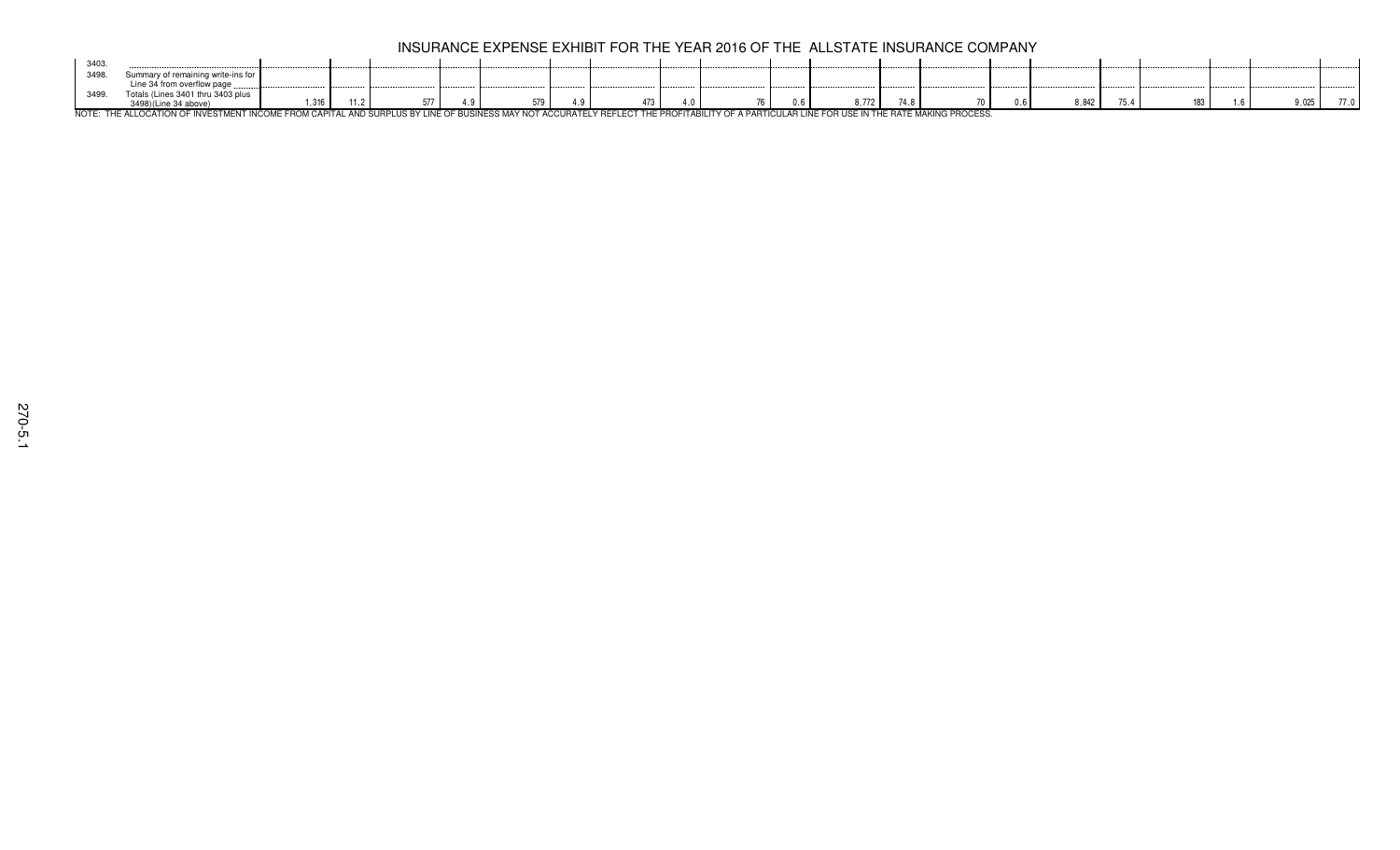| 3403 |                                                                                                                                                                                    |                                                                  |  |  |  |    |         |  |       |  |       |  |
|------|------------------------------------------------------------------------------------------------------------------------------------------------------------------------------------|------------------------------------------------------------------|--|--|--|----|---------|--|-------|--|-------|--|
| 3498 |                                                                                                                                                                                    |                                                                  |  |  |  |    |         |  |       |  |       |  |
|      | ine 34 from overflow page                                                                                                                                                          |                                                                  |  |  |  |    |         |  |       |  |       |  |
| 3499 | $.$ inne $2401$ thr:<br>0.2402                                                                                                                                                     |                                                                  |  |  |  |    |         |  |       |  |       |  |
|      | UARE RUE LI LA ALBIAU AR UNICARI EURO UAALIE PAALI ALARU LIIA AURULIA BULUUR AR BUANIAR LA AURULIA PAR BUR BAARU UNI AR LA LA BUANI LA LUIR PAA UAR UAR UNIC ALBRILLUIULA BRAARAA. | $\overline{11}$<br>$\mathsf{I} \mathsf{I} \mathsf{I} \mathsf{I}$ |  |  |  | Ιh | $1 + 0$ |  | 8.842 |  | 0.025 |  |

NOTE: THE ALLOCATION OF INVESTMENT INCOME FROM CAPITAL AND SURPLUS BY LINE OF BUSINESS MAY NOT ACCURATELY REFLECT THE PROFITABILITY OF A PARTICULAR LINE FOR USE IN THE RATE MAKING PROCESS.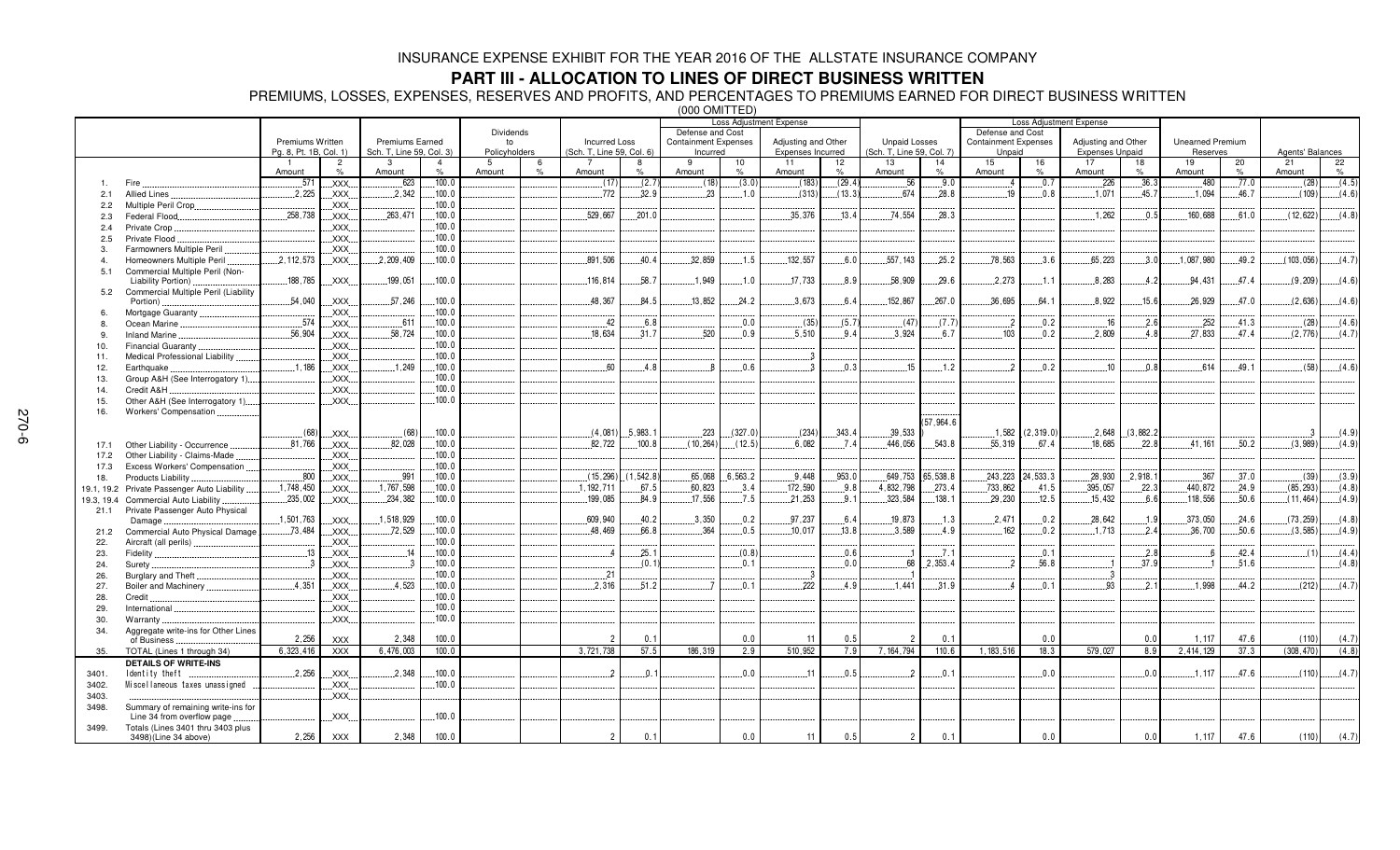## **PART III - ALLOCATION TO LINES OF DIRECT BUSINESS WRITTEN**

PREMIUMS, LOSSES, EXPENSES, RESERVES AND PROFITS, AND PERCENTAGES TO PREMIUMS EARNED FOR DIRECT BUSINESS WRITTEN (000 OMITTED)

|                  |                                                                  |                         |                        |                          |                        |               | Loss Adjustment Expense |                           |                     |                             |                     |                          | Loss Adjustment Expense |                           |                            |                             |                        |                        |            |                         |                     |                  |         |
|------------------|------------------------------------------------------------------|-------------------------|------------------------|--------------------------|------------------------|---------------|-------------------------|---------------------------|---------------------|-----------------------------|---------------------|--------------------------|-------------------------|---------------------------|----------------------------|-----------------------------|------------------------|------------------------|------------|-------------------------|---------------------|------------------|---------|
|                  |                                                                  |                         |                        |                          |                        | Dividends     |                         |                           |                     | Defense and Cost            |                     |                          |                         |                           |                            | Defense and Cost            |                        |                        |            |                         |                     |                  |         |
|                  |                                                                  | <b>Premiums Written</b> |                        | <b>Premiums Earned</b>   |                        | to            |                         | <b>Incurred Loss</b>      |                     | <b>Containment Expenses</b> |                     | Adjusting and Other      |                         | <b>Unpaid Losses</b>      |                            | <b>Containment Expenses</b> |                        | Adjusting and Other    |            | <b>Unearned Premium</b> |                     |                  |         |
|                  |                                                                  | Pa. 8. Pt. 1B. Col. 1)  |                        | Sch. T, Line 59, Col. 3) |                        | Policyholders |                         | (Sch. T, Line 59, Col. 6) |                     | Incurred                    |                     | <b>Expenses Incurred</b> |                         | (Sch. T, Line 59, Col. 7) |                            | Unpaid                      |                        | <b>Expenses Unpaid</b> |            | Reserves                |                     | Agents' Balances |         |
|                  |                                                                  | Amount                  | $\overline{2}$<br>$\%$ | 3<br>Amount              | $\overline{4}$<br>$\%$ | 5<br>Amount   | 6<br>O/                 | $\overline{7}$<br>Amount  | $\frac{1}{2}$       | 9<br>Amount                 | 10<br>$\frac{1}{2}$ | 11<br>Amount             | 12<br>$\%$              | 13<br>Amount              | 14<br>$\%$                 | 15<br>Amount                | 16<br>$\%$             | 17<br>Amount           | 18<br>$\%$ | 19<br>Amount            | 20<br>$\frac{9}{6}$ | 21<br>Amount     | 22<br>% |
| $\mathbf{1}$     | Fire                                                             | .571                    | XXX.                   | .623                     | .100.0                 |               |                         | (17)                      | (2.7)               | (18)                        | (3.0)               | (183)                    | (29.4)                  | .56                       | .9.0                       | 4                           | .0.7                   | .226                   | .36.3      | .480                    | .77.0               | (28)             | (4.5)   |
|                  | <b>Allied Lines</b>                                              | .2,225                  |                        | .2.342                   | .100.0                 |               |                         | .772                      | 32.9                | .23                         | .1.0                | (313)                    | (13.3)                  | 674                       | .28.8                      | 19                          | .0.8                   | .1,071                 | .45.7      | 1,094                   | .46.7               | (109)            | (4.6)   |
| 2.1              |                                                                  |                         | XXX.                   |                          | .100.0                 |               |                         |                           |                     |                             |                     |                          |                         |                           |                            |                             |                        |                        |            |                         |                     |                  |         |
| 2.2              | Multiple Peril Crop                                              | .258,738                | XXX.<br><b>XXX</b>     | 263,471                  | .100.0                 |               |                         | 529.667                   | 201.0               |                             |                     | .35.376                  | 13.4                    | .74,554                   | 28.3                       |                             |                        | .1.262                 | 0.5        | 160,688                 | 61.0                | (12, 622)        | (4.8)   |
| 2.3              | Federal Flood.                                                   |                         |                        |                          | 100.0                  |               |                         |                           |                     |                             |                     |                          |                         |                           |                            |                             |                        |                        |            |                         |                     |                  |         |
| 2.4              | Private Crop.                                                    |                         | XXX.                   |                          | 100.0                  |               |                         |                           |                     |                             |                     |                          |                         |                           |                            |                             |                        |                        |            |                         |                     |                  |         |
| 2.5              | Private Flood                                                    |                         | XXX.                   |                          |                        |               |                         |                           |                     |                             |                     |                          |                         |                           |                            |                             |                        |                        |            |                         |                     |                  |         |
| 3.               | Farmowners Multiple Peril                                        |                         | XXX.                   |                          | 100.0                  |               |                         |                           | 40.4                | .32,859                     |                     | 132,557                  | 6.0                     | .557, 143                 |                            | 78,563                      |                        |                        |            | .1,087,980              | 49.2                |                  |         |
| $\overline{4}$ . | Homeowners Multiple Peril                                        | .2, 112, 573            | XXX.                   | .2,209,409               | .100.0                 |               |                         | .891,506                  |                     |                             | .1.5                |                          |                         |                           | .25.2                      |                             | .3.6                   | .65,223                | .3.0       |                         |                     | (103, 056)       | (4.7)   |
| 5.1              | Commercial Multiple Peril (Non-                                  | .188,785                | XXX.                   | 199,051                  | 100.0                  |               |                         | 116,814                   | 58.7                | .1,949                      | .1.0                | 17,733                   | .8.9                    | 58,909                    | .29.6                      | 2,273                       | .1.1                   | .8,283                 | .4.2       | 94,431                  | .47.4               | (9,209)          | (4.6)   |
| 5.2              | Liability Portion)                                               |                         |                        |                          |                        |               |                         |                           |                     |                             |                     |                          |                         |                           |                            |                             |                        |                        |            |                         |                     |                  |         |
|                  | Commercial Multiple Peril (Liability<br>Portion)                 | .54,040                 | XXX.                   | .57,246                  | .100.0                 |               |                         | 48,367                    | 84.5                | .13, 852                    | 24.2                | .3.673                   | 6.4                     | 152,867                   | .267.0                     | .36,695                     | 64.1                   | .8,922                 | 15.6       | 26,929                  | 47.0                | (2,636)          | (4.6)   |
|                  | Mortgage Guaranty.                                               |                         | XXX.                   |                          | 100.0                  |               |                         |                           |                     |                             |                     |                          |                         |                           |                            |                             |                        |                        |            |                         |                     |                  |         |
|                  | Ocean Marine                                                     | .574                    | XXX.                   | .611                     | 100.0                  |               |                         | .42                       | .6.8                |                             | 0.0                 | (35)                     | (5.7)                   | (47)                      | (7.7)                      | $\cdot$ 2                   | .0.2                   | .16                    | .2.6       | .252                    | .41.3               | (28)             | (4.6)   |
| 9.               | <b>Inland Marine</b>                                             | .56,904                 | XXX.                   | .58,724                  | 100.0                  |               |                         | 18,634                    | 31.7                | 520                         | 0.9                 | .5,510                   | 94                      | .3.924                    | 6.7                        | 103                         | 0.2                    | 2,809                  | 4.8        | 27,833                  | 47.4                | (2,776)          | (4.7)   |
|                  | Financial Guaranty                                               |                         | XXX                    |                          | 100.0                  |               |                         |                           |                     |                             |                     |                          |                         |                           |                            |                             |                        |                        |            |                         |                     |                  |         |
| 10.              |                                                                  |                         | XXX.                   |                          | 100.0                  |               |                         |                           |                     |                             |                     | . . 3                    |                         |                           |                            |                             |                        |                        |            |                         |                     |                  |         |
| 11.              | Medical Professional Liability                                   | .1,186                  | XXX.                   | .1.249                   | .100.0                 |               |                         | .60                       | .4.8                |                             | .0.6                | - 3                      | .0.3                    | .15                       | .1.2                       |                             | 0.2                    | .10                    | .0.8       | .614                    | 49.1                | (58)             | (4.6)   |
| 12.              | Earthquake                                                       |                         |                        |                          | .100.0                 |               |                         |                           |                     |                             |                     |                          |                         |                           |                            |                             |                        |                        |            |                         |                     |                  |         |
| 13.              | Group A&H (See Interrogatory 1)                                  |                         | XXX.                   |                          | 100.0                  |               |                         |                           |                     |                             |                     |                          |                         |                           |                            |                             |                        |                        |            |                         |                     |                  |         |
| 14.              | Credit A&H                                                       |                         | .XXX.<br>XXX.          |                          | 100.0                  |               |                         |                           |                     |                             |                     |                          |                         |                           |                            |                             |                        |                        |            |                         |                     |                  |         |
| 15.              | Other A&H (See Interrogatory 1)                                  |                         |                        |                          |                        |               |                         |                           |                     |                             |                     |                          |                         |                           |                            |                             |                        |                        |            |                         |                     |                  |         |
| 16.              | Workers' Compensation.                                           |                         |                        |                          |                        |               |                         |                           |                     |                             |                     |                          |                         |                           | (57, 964.6)                |                             |                        |                        |            |                         |                     |                  |         |
|                  |                                                                  | (68)                    | <b>XXX</b>             | (68)                     | .100.0                 |               |                         |                           | $(4,081)$ , 5,983.1 | .223                        | (327.0)             | (234)                    | .343.4                  | 39,533                    |                            |                             | $.1,582$ $(2,319.0)$   | .2,648                 | (3,882.2)  |                         |                     | -3               | (4.9)   |
|                  |                                                                  | 81.766                  |                        | 82.028                   | 100.0                  |               |                         |                           |                     |                             |                     | .6.082                   |                         | 446.056                   | .543.8                     |                             | 67.4                   | 18.685                 | 22.8       |                         | .50.2               |                  |         |
| 17.1             | Other Liability - Occurrence                                     |                         | XXX.                   |                          |                        |               |                         | 82,722                    | .100.8              | (10, 264)                   | (12.5)              |                          | 7.4                     |                           |                            | 55,319                      |                        |                        |            | 41.161                  |                     | (3,989)          | (4.9)   |
| 17.2             | Other Liability - Claims-Made                                    |                         | XXX.                   |                          | .100.0<br>.100.0       |               |                         |                           |                     |                             |                     |                          |                         |                           |                            |                             |                        |                        |            |                         |                     |                  |         |
| 17.3             | Excess Workers' Compensation.                                    |                         | XXX.                   | .991                     |                        |               |                         |                           |                     | .65,068                     |                     | .9.448                   | .953.0                  |                           |                            |                             |                        |                        | .2.918.1   | .367                    | .37.0               |                  |         |
| 18.              | Products Liability                                               | .800                    | XXX.                   |                          | 100.0<br>100.0         |               |                         | (15, 296)                 | (1.542.8)           |                             | .6,563.2            |                          |                         | 4.832.798                 | 649,753 .65,538.8<br>273.4 |                             | $.243.223$ $.24.533.3$ | .28,930                | 22.3       |                         | .24.9               | (39)             | (3.9)   |
| 19.1, 19.2       | Private Passenger Auto Liability                                 | 1,748,450               | XXX.                   | .1,767,598               |                        |               |                         | 1, 192, 711               | .67.5               | 60,823                      | 3.4                 | 172,590                  | 9.8                     |                           |                            | .733,862                    | 41.5                   | .395,057               |            | 440,872                 |                     | (85, 293)        | (4.8)   |
| 19.3, 19.4       | <b>Commercial Auto Liability</b>                                 | .235,002                | XXX.                   | 234,382                  | .100.0                 |               |                         | 199,085                   | 84.9                | .17,556                     | .7.5                | .21,253                  | 9.1                     | .323,584                  | .138.1                     | .29,230                     | .12.5                  | .15.432                | .6.6       | 118,556                 | .50.6               | (11, 464)        | (4.9)   |
| 21.1             | Private Passenger Auto Physical                                  | .1,501,763              | <b>XXX</b>             | .1.518.929               | 100.0                  |               |                         | .609.940                  | 40.2                | .3.350                      | .0.2                | .97.237                  | 6.4                     | 19.873                    | .1.3                       | 2.471                       | 0.2                    | 28.642                 | .1.9       | .373,050                | .24.6               | (73, 259)        | (4.8)   |
|                  | Damage                                                           | .73.484                 |                        | .72,529                  | 100.0                  |               |                         | 48.469                    | 66.8                | 364                         | .0.5                | .10.017                  | .13.8                   | .3.589                    | .4.9                       | 162                         | .0.2                   | .1.713                 | 2.4        | .36,700                 | .50.6               | (3, 585)         | (4.9)   |
| 21.2             | Commercial Auto Physical Damage                                  |                         | XXX.                   |                          | .100.0                 |               |                         |                           |                     |                             |                     |                          |                         |                           |                            |                             |                        |                        |            |                         |                     |                  |         |
| 22.              | Aircraft (all perils)                                            | .13                     | XXX.                   | .14                      | .100.0                 |               |                         | - 4                       | 25.1                |                             | (0.8)               |                          | .0.6                    |                           | .7.1                       |                             | .0.1                   |                        | .2.8       |                         | 42.4                | (1)              | (4.4)   |
| 23.              | Fidelity                                                         |                         | XXX.<br>XXX.           | -3                       | 100.0                  |               |                         |                           | (0.1)               |                             | 0.1                 |                          | 0.0                     | 68                        | 2,353.4                    |                             | 56.8                   |                        | 37.9       |                         | 51.6                |                  | (4.8)   |
| 24.              | Surety.                                                          |                         |                        |                          | 100.0                  |               |                         | .21                       |                     |                             |                     | . . 3                    |                         |                           |                            |                             |                        | -3                     |            |                         |                     |                  |         |
| 26.              | Burglary and Theft                                               |                         | XXX.                   | .4,523                   | 100.0                  |               |                         | .2.316                    | .51.2               |                             | .0.1                | .222                     | .4.9                    | .1.441                    |                            |                             | .0.1                   | 93                     | .2.1       | 1.998                   | 44.2                |                  | (4.7)   |
| 27.              | Boiler and Machinery                                             | .4,351                  | <b>XXX</b>             |                          |                        |               |                         |                           |                     |                             |                     |                          |                         |                           | .31.9                      |                             |                        |                        |            |                         |                     | (212)            |         |
| 28.              | Credit.                                                          |                         | XXX.                   |                          | .100.0<br>.100.0       |               |                         |                           |                     |                             |                     |                          |                         |                           |                            |                             |                        |                        |            |                         |                     |                  |         |
| 29.              | International                                                    |                         | XXX.                   |                          |                        |               |                         |                           |                     |                             |                     |                          |                         |                           |                            |                             |                        |                        |            |                         |                     |                  |         |
| 30.              | Warranty                                                         |                         | XXX.                   |                          | .100.0                 |               |                         |                           |                     |                             |                     |                          |                         |                           |                            |                             |                        |                        |            |                         |                     |                  |         |
| 34.              | Aggregate write-ins for Other Lines                              | 2,256                   | <b>XXX</b>             | 2,348                    | 100.0                  |               |                         | $\overline{2}$            | 0.1                 |                             | 0.0                 | 11                       | 0.5                     | $\overline{2}$            | 0.1                        |                             | 0.0                    |                        | 0.0        | 1,117                   | 47.6                | (110)            | (4.7)   |
|                  | of Business                                                      | 6,323,416               | <b>XXX</b>             | 6,476,003                | 100.0                  |               |                         | 3,721,738                 | 57.5                | 186.319                     | 2.9                 | 510.952                  | 7.9                     | 7, 164, 794               | 110.6                      | 1, 183, 516                 | 18.3                   | 579,027                | 8.9        | 2,414,129               | 37.3                | (308.470)        | (4.8)   |
| 35.              | TOTAL (Lines 1 through 34)<br><b>DETAILS OF WRITE-INS</b>        |                         |                        |                          |                        |               |                         |                           |                     |                             |                     |                          |                         |                           |                            |                             |                        |                        |            |                         |                     |                  |         |
|                  |                                                                  | .2,256                  |                        | .2.348                   | .100.0                 |               |                         |                           | .0.1                |                             | 0.0                 | 11                       | .0.5                    | $\mathcal{P}$             | .0.1                       |                             | 0.0                    |                        | .0.0       | .1.117                  | 47.6                | (110)            | (4.7)   |
| 3401.            | Identity theft                                                   |                         | XXX.                   |                          | 100.0                  |               |                         |                           |                     |                             |                     |                          |                         |                           |                            |                             |                        |                        |            |                         |                     |                  |         |
| 3402.            | Miscellaneous taxes unassigned                                   |                         | XXX.                   |                          |                        |               |                         |                           |                     |                             |                     |                          |                         |                           |                            |                             |                        |                        |            |                         |                     |                  |         |
| 3403.            |                                                                  |                         | XXX.                   |                          |                        |               |                         |                           |                     |                             |                     |                          |                         |                           |                            |                             |                        |                        |            |                         |                     |                  |         |
| 3498.            | Summary of remaining write-ins for<br>Line 34 from overflow page |                         | XXX.                   |                          | .100.0                 |               |                         |                           |                     |                             |                     |                          |                         |                           |                            |                             |                        |                        |            |                         |                     |                  |         |
| 3499.            | Totals (Lines 3401 thru 3403 plus                                |                         |                        |                          |                        |               |                         |                           |                     |                             |                     |                          |                         |                           |                            |                             |                        |                        |            |                         |                     |                  |         |
|                  | 3498)(Line 34 above)                                             | 2,256                   | <b>XXX</b>             | 2,348                    | 100.0                  |               |                         | $\overline{2}$            | 0.1                 |                             | 0.0                 | 11                       | 0.5                     | $\overline{2}$            | 0.1                        |                             | 0.0                    |                        | 0.0        | 1,117                   | 47.6                | (110)            | (4.7)   |
|                  |                                                                  |                         |                        |                          |                        |               |                         |                           |                     |                             |                     |                          |                         |                           |                            |                             |                        |                        |            |                         |                     |                  |         |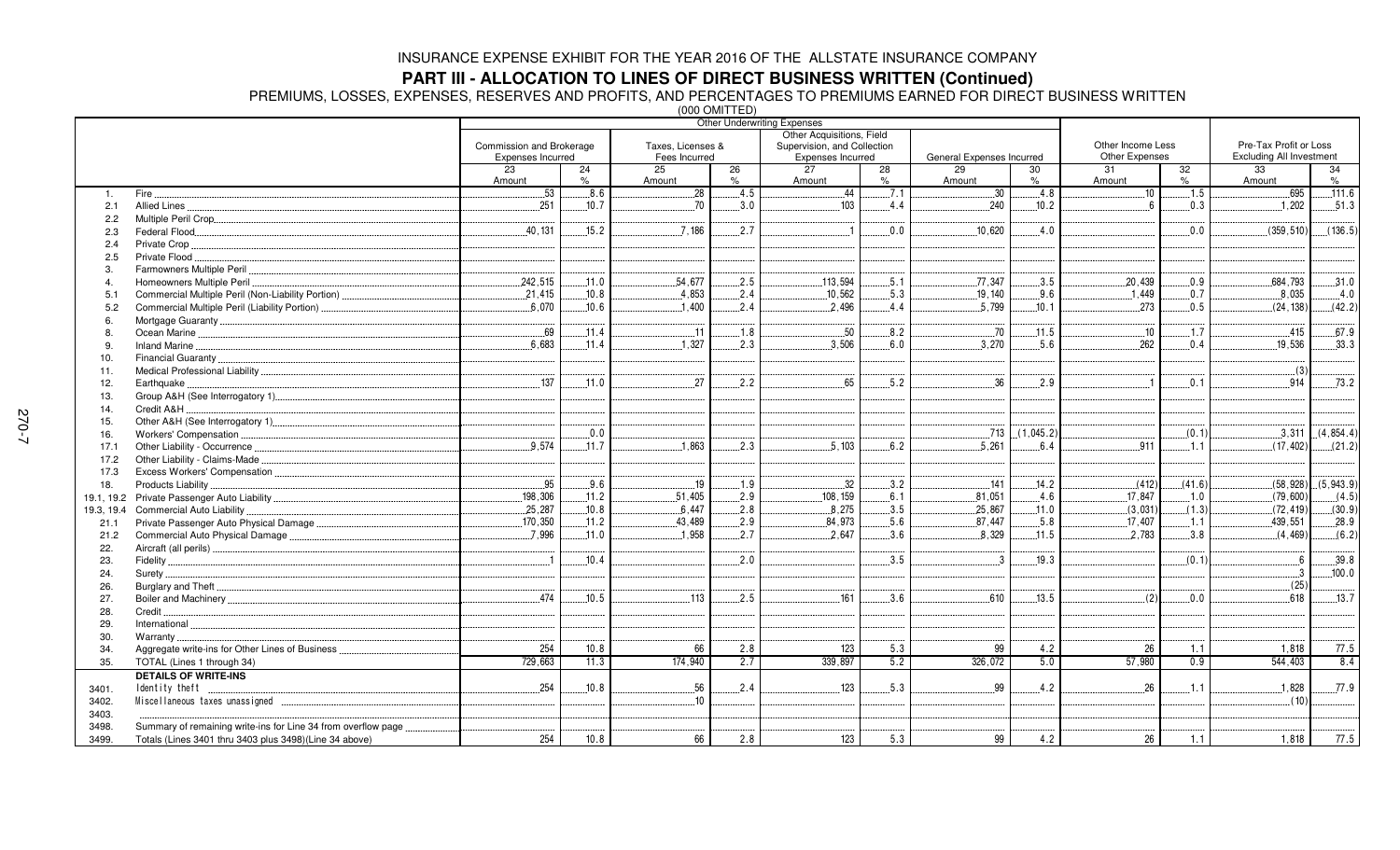**PART III - ALLOCATION TO LINES OF DIRECT BUSINESS WRITTEN (Continued)<br>PREMIUMS, LOSSES, EXPENSES, RESERVES AND PROFITS, AND PERCENTAGES TO PREMIUMS EARNED FOR DIRECT BUSINESS WRITTEN<br>‱** 

|                |                                                                |                          |       |                   | $(000$ ONIT LED  | <b>Other Underwriting Expenses</b> |      |                           |           |                         |               |                                 |            |
|----------------|----------------------------------------------------------------|--------------------------|-------|-------------------|------------------|------------------------------------|------|---------------------------|-----------|-------------------------|---------------|---------------------------------|------------|
|                |                                                                |                          |       |                   |                  | Other Acquisitions, Field          |      |                           |           |                         |               |                                 |            |
|                |                                                                | Commission and Brokerage |       | Taxes. Licenses & |                  | Supervision, and Collection        |      |                           |           | Other Income Less       |               | Pre-Tax Profit or Loss          |            |
|                |                                                                | Expenses Incurred        |       | Fees Incurred     |                  | Expenses Incurred                  |      | General Expenses Incurred |           | Other Expenses          |               | <b>Excluding All Investment</b> |            |
|                |                                                                | 23                       | 24    | 25                | 26               | 27                                 | 28   | 29                        | 30        | 31                      | 32            | 33                              | 34         |
|                |                                                                | Amount                   | $\%$  | Amount            | $\%$             | Amount                             | $\%$ | Amount                    | $\%$      | Amount                  | $\frac{9}{6}$ | Amount                          | $\%$       |
| 1.             | Fire.                                                          | 53                       | 8.6   | .28               | .4.5             | 44                                 | .7.1 | 30                        | .4.8      | 10                      | .1.5          | 695                             | .111.6     |
| 2.1            | Allied Lines                                                   | .251                     | 10.7  | 70                | 3.0              | .103                               | 4.4  | 240                       | .10.2     | $\boldsymbol{\kappa}$   | 0.3           | .1,202                          | .51.3      |
| 2.2            |                                                                |                          |       |                   |                  |                                    |      |                           |           |                         |               |                                 |            |
| 2.3            | Federal Flood                                                  | .40.131                  | .15.2 | .7.186            | 2.7              |                                    | 0.0  | 10.620                    | 4.0       |                         | 0.0           | (359.510)                       | (136.5)    |
| 2.4            | Private Crop                                                   |                          |       |                   |                  |                                    |      |                           |           |                         |               |                                 |            |
| 2.5            | Private Flood                                                  |                          |       |                   |                  |                                    |      |                           |           |                         |               |                                 |            |
| 3.             | Farmowners Multiple Peril                                      |                          |       |                   |                  |                                    |      |                           |           |                         |               |                                 |            |
| $\overline{4}$ | Homeowners Multiple Peril                                      | 242.515                  | 11.0  | 54.677            | 2.5              | 113.594                            | 5.1  | 77.347                    | 3.5       | 20.439                  | 0.9           | 684.793                         | .31.0      |
| 5.1            |                                                                | .21,415                  | .10.8 | .4,853            | .2.4             | .10,562                            | .5.3 | .19,140                   | .9.6      | .1,449                  | .0.7          | .8,035                          | .4.0       |
| 5.2            | Commercial Multiple Peril (Liability Portion)                  | 6.070                    | .10.6 | .1.400            | 2.4              | 2.496                              | 4.4  | 5.799                     | 10.1      | 273                     | 0.5           | (24, 138)                       | (42.2)     |
| 6.             |                                                                |                          |       |                   |                  |                                    |      |                           |           |                         |               |                                 |            |
| 8              |                                                                | .69                      | .11.4 | .11               | .1.8             | .50                                | .8.2 | .70                       | .11.5     | .10                     | .1.7          | .415                            | .67.9      |
| 9              | Inland Marine.                                                 | 6.683                    | 11.4  | .1,327            | .2.3             | .3,506                             | .6.0 | 3,270                     | .5.6      | .262                    | 0.4           | .19,536                         | .33.3      |
| 10.            | Financial Guaranty                                             |                          |       |                   |                  |                                    |      |                           |           |                         |               |                                 |            |
| 11.            |                                                                |                          |       |                   |                  |                                    |      |                           |           |                         |               | (3)                             |            |
| 12.            | Earthquake.                                                    | 137                      | .11.0 | 27                | 2.2              | 65                                 | .5.2 | 36                        | .2.9      | $\overline{\mathbf{1}}$ | .0.1          | .914                            | 73.2       |
| 13.            |                                                                |                          |       |                   |                  |                                    |      |                           |           |                         |               |                                 |            |
| 14.            | Credit A&H                                                     |                          |       |                   |                  |                                    |      |                           |           |                         |               |                                 |            |
| 15.            |                                                                |                          |       |                   |                  |                                    |      |                           |           |                         |               |                                 |            |
| 16.            |                                                                |                          | 0.0   |                   |                  |                                    |      | .713                      | (1,045.2) |                         | (0.1)         | .3,311                          | (4, 854.4) |
| 17.1           |                                                                | 9.574                    | .11.7 | .1,863            | .2.3             | .5,103                             | 6.2  | .5.261                    | 6.4       | 911                     | .1.1          | (17, 402)                       | (21.2)     |
| 17.2           | Other Liability - Claims-Made                                  |                          |       |                   |                  |                                    |      |                           |           |                         |               |                                 |            |
| 17.3           |                                                                |                          |       |                   |                  |                                    |      |                           |           |                         |               |                                 |            |
| 18.            | Products Liability                                             | .95                      | .9.6  | .19               | .1.9             | .32                                | 3.2  | 141                       | .14.2     | (412)                   | (41.6)        | (58, 928)                       | (5,943.9)  |
|                |                                                                | .198,306                 | .11.2 | 51.405            | .2.9             | .108, 159                          | 6.1  | .81,051                   | .4.6      | 17.847                  | .1.0          | (79,600)                        | (4.5)      |
| 19.3, 19.4     | Commercial Auto Liability                                      | .25,287                  | .10.8 | .6,447            | 2.8              | 8,275                              | .3.5 | .25,867                   | .11.0     | (3,031)                 | (1.3)         | (72, 419)                       | (30.9)     |
| 21.1           |                                                                | .170,350                 | .11.2 | 43,489            | 2.9              | 84,973                             | 5.6  | 87.447                    | 5.8       | 17.407                  | 1.1           | .439,551                        | .28.9      |
|                | Commercial Auto Physical Damage                                | .7.996                   | .11.0 | .1,958            | .2.7             | 2,647                              | .3.6 | 8,329                     | .11.5     | .2,783                  | 3.8           | (4, 469)                        | (6.2)      |
| 21.2           |                                                                |                          |       |                   |                  |                                    |      |                           |           |                         |               |                                 |            |
| 22.            |                                                                | $\cdot$ 1                | 10.4  |                   | .2.0             |                                    | 3.5  | $\cdot$ 3                 | 19.3      |                         | (0.1)         | 6.5                             | .39.8      |
| 23.            |                                                                |                          |       |                   |                  |                                    |      |                           |           |                         |               | $\cdot$ 3                       | .100.0     |
| 24.            |                                                                |                          |       |                   |                  |                                    |      |                           |           |                         |               | (25)                            |            |
| 26.            |                                                                | 474                      | 10.5  | 113               | 2.5              | 161                                | 3.6  | 610                       | 13.5      | (2)                     | 0.0           | 618                             | 13.7       |
| 27.            |                                                                |                          |       |                   |                  |                                    |      |                           |           |                         |               |                                 |            |
| 28.            | Credit.                                                        |                          |       |                   |                  |                                    |      |                           |           |                         |               |                                 |            |
| 29.            | International                                                  |                          |       |                   |                  |                                    |      |                           |           |                         |               |                                 |            |
| 30.            | Warranty                                                       |                          |       |                   |                  |                                    |      |                           |           |                         |               |                                 |            |
| 34.            | Aggregate write-ins for Other Lines of Business                | 254                      | 10.8  | 66                | 2.8              | 123                                | 5.3  | 99                        | 4.2       | 26                      | 1.1           | 1.818                           | 77.5       |
| 35.            | TOTAL (Lines 1 through 34)                                     | 729.663                  | 11.3  | 174.940           | 2.7 <sup>1</sup> | 339,897                            | 5.2  | 326.072                   | 5.0       | 57,980                  | 0.9           | 544.403                         | 8.4        |
|                | <b>DETAILS OF WRITE-INS</b>                                    |                          |       |                   |                  |                                    |      |                           |           |                         |               |                                 |            |
| 3401.          | Identity theft                                                 | 254                      | 10.8  | 56                | 2.4              | .123                               | .5.3 | 99                        | .4.2      | 26                      | .1.1          | .1,828                          | .77.9      |
| 3402.          |                                                                |                          |       | 10                |                  |                                    |      |                           |           |                         |               | (10)                            |            |
| 3403.          |                                                                |                          |       |                   |                  |                                    |      |                           |           |                         |               |                                 |            |
| 3498.          | Summary of remaining write-ins for Line 34 from overflow page. |                          |       |                   |                  |                                    |      |                           |           |                         |               |                                 |            |
| 3499.          | Totals (Lines 3401 thru 3403 plus 3498)(Line 34 above)         | 254                      | 10.8  | 66                | 2.8              | 123                                | 5.3  | 99                        | 4.2       | 26                      | 1.1           | 1,818                           | 77.5       |